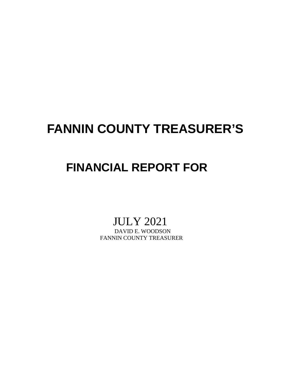# **FANNIN COUNTY TREASURER'S**

## **FINANCIAL REPORT FOR**

# JULY 2021<br>DAVID E. WOODSON

FANNIN COUNTY TREASURER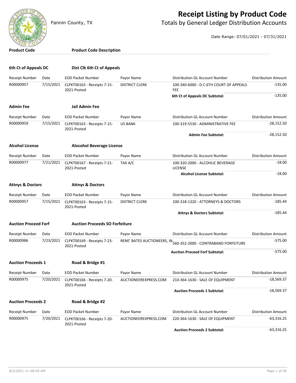

### **Receipt Listing by Product Code**

Fannin County, TX **The County of Totals by General Ledger Distribution Accounts** 

Date Range: 07/01/2021 - 07/31/2021

| <b>Product Code</b>         |           | <b>Product Code Description</b>            |                       |                                                                  |                            |
|-----------------------------|-----------|--------------------------------------------|-----------------------|------------------------------------------------------------------|----------------------------|
| 6th Ct of Appeals DC        |           | Dist Clk 6th Ct of Appeals                 |                       |                                                                  |                            |
| Receipt Number              | Date      | <b>EOD Packet Number</b>                   | Payor Name            | Distribution GL Account Number                                   | <b>Distribution Amount</b> |
| R00000957                   | 7/15/2021 | CLPKT00163 - Receipts 7-15-<br>2021-Posted | <b>DISTRICT CLERK</b> | 100-340-6000 - D.C.6TH COURT OF APPEALS<br><b>FEE</b>            | $-135.00$                  |
|                             |           |                                            |                       | 6th Ct of Appeals DC Subtotal:                                   | $-135.00$                  |
| <b>Admin Fee</b>            |           | Jail Admin Fee                             |                       |                                                                  |                            |
| <b>Receipt Number</b>       | Date      | <b>EOD Packet Number</b>                   | Payor Name            | Distribution GL Account Number                                   | <b>Distribution Amount</b> |
| R00000959                   | 7/15/2021 | CLPKT00163 - Receipts 7-15-<br>2021-Posted | <b>US BANK</b>        | 100-319-5530 - ADMINISTRATIVE FEE                                | $-28,152.50$               |
|                             |           |                                            |                       | <b>Admin Fee Subtotal:</b>                                       | $-28,152.50$               |
| <b>Alcohol License</b>      |           | <b>Alocohol Beverage License</b>           |                       |                                                                  |                            |
| <b>Receipt Number</b>       | Date      | <b>EOD Packet Number</b>                   | Payor Name            | Distribution GL Account Number                                   | <b>Distribution Amount</b> |
| R00000977                   | 7/21/2021 | CLPKT00167 - Receipts 7-21-<br>2021-Posted | TAX A/C               | 100-320-2000 - ALCOHLIC BEVERAGE<br><b>LICENSE</b>               | $-18.00$                   |
|                             |           |                                            |                       | <b>Alcohol License Subtotal:</b>                                 | $-18.00$                   |
| <b>Attnys &amp; Doctors</b> |           | <b>Attnys &amp; Doctors</b>                |                       |                                                                  |                            |
| <b>Receipt Number</b>       | Date      | <b>EOD Packet Number</b>                   | Payor Name            | Distribution GL Account Number                                   | <b>Distribution Amount</b> |
| R00000957                   | 7/15/2021 | CLPKT00163 - Receipts 7-15-<br>2021-Posted | <b>DISTRICT CLERK</b> | 100-318-1320 - ATTORNEYS & DOCTORS                               | $-185.44$                  |
|                             |           |                                            |                       | <b>Attnys &amp; Doctors Subtotal:</b>                            | $-185.44$                  |
| <b>Auction Proceed Forf</b> |           | <b>Auction Proceeds SO Forfeiture</b>      |                       |                                                                  |                            |
| <b>Receipt Number</b>       | Date      | <b>EOD Packet Number</b>                   | Payor Name            | Distribution GL Account Number                                   | <b>Distribution Amount</b> |
| R00000986                   | 7/23/2021 | CLPKT00169 - Receipts 7-23-<br>2021-Posted |                       | RENE' BATES AUCTIONEERS, IN 560-352-2000 - CONTRABAND FORFEITURE | $-575.00$                  |
|                             |           |                                            |                       | <b>Auction Proceed Forf Subtotal:</b>                            | $-575.00$                  |
| <b>Auction Proceeds 1</b>   |           | Road & Bridge #1                           |                       |                                                                  |                            |
| Receipt Number              | Date      | <b>EOD Packet Number</b>                   | Payor Name            | Distribution GL Account Number                                   | <b>Distribution Amount</b> |
| R00000975                   | 7/20/2021 | CLPKT00166 - Receipts 7-20-<br>2021-Posted | AUCTIONEEREXPRESS.COM | 210-364-1630 - SALE OF EQUIPMENT                                 | $-18,569.37$               |
|                             |           |                                            |                       | <b>Auction Proceeds 1 Subtotal:</b>                              | $-18,569.37$               |
| <b>Auction Proceeds 2</b>   |           | Road & Bridge #2                           |                       |                                                                  |                            |
| <b>Receipt Number</b>       | Date      | <b>EOD Packet Number</b>                   | Payor Name            | Distribution GL Account Number                                   | <b>Distribution Amount</b> |
| R00000975                   | 7/20/2021 | CLPKT00166 - Receipts 7-20-                | AUCTIONEEREXPRESS.COM | 220-364-1630 - SALE OF EQUIPMENT                                 | $-63,316.25$               |
|                             |           | 2021-Posted                                |                       | <b>Auction Proceeds 2 Subtotal:</b>                              | $-63,316.25$               |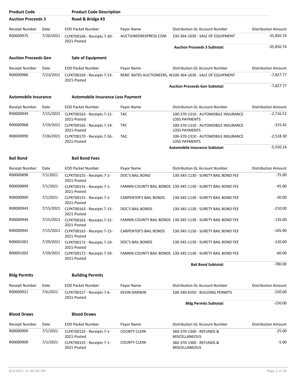| <b>Product Code</b>         |           | <b>Product Code Description</b>                          |                               |                                                                                     |                            |
|-----------------------------|-----------|----------------------------------------------------------|-------------------------------|-------------------------------------------------------------------------------------|----------------------------|
| <b>Auction Proceeds 3</b>   |           | Road & Bridge #3                                         |                               |                                                                                     |                            |
| Receipt Number              | Date      | <b>EOD Packet Number</b>                                 | Payor Name                    | Distribution GL Account Number                                                      | <b>Distribution Amount</b> |
| R00000975                   | 7/20/2021 | CLPKT00166 - Receipts 7-20-<br>2021-Posted               | AUCTIONEEREXPRESS.COM         | 230-364-1630 - SALE OF EQUIPMENT                                                    | $-35,850.74$               |
|                             |           |                                                          |                               | <b>Auction Proceeds 3 Subtotal:</b>                                                 | $-35,850.74$               |
| <b>Auction Proceeds Gen</b> |           | <b>Sale of Equipment</b>                                 |                               |                                                                                     |                            |
| Receipt Number              | Date      | <b>EOD Packet Number</b>                                 | Payor Name                    | Distribution GL Account Number                                                      | <b>Distribution Amount</b> |
| R00000986                   | 7/23/2021 | CLPKT00169 - Receipts 7-23-                              |                               | RENE' BATES AUCTIONEERS, IN100-364-1630 - SALE OF EQUIPMENT                         | $-7,827.77$                |
|                             |           | 2021-Posted                                              |                               | <b>Auction Proceeds Gen Subtotal:</b>                                               | $-7,827.77$                |
| <b>Automobile Insurance</b> |           | <b>Automobile Insurance Loss Payment</b>                 |                               |                                                                                     |                            |
| Receipt Number              | Date      | <b>EOD Packet Number</b>                                 | Payor Name                    | Distribution GL Account Number                                                      | <b>Distribution Amount</b> |
| R00000949                   | 7/15/2021 | CLPKT00163 - Receipts 7-15-<br>2021-Posted               | <b>TAC</b>                    | 100-370-1310 - AUTOMOBILE INSURANCE                                                 | $-2,716.52$                |
| R00000968                   | 7/19/2021 | CLPKT00165 - Receipts 7-19-<br>2021-Posted               | <b>TAC</b>                    | <b>LOSS PAYMENTS</b><br>100-370-1310 - AUTOMOBILE INSURANCE<br><b>LOSS PAYMENTS</b> | $-315.42$                  |
| R00000990                   | 7/26/2021 | CLPKT00170 - Receipts 7-26-<br>2021-Posted               | <b>TAC</b>                    | 100-370-1310 - AUTOMOBILE INSURANCE<br><b>LOSS PAYMENTS</b>                         | $-2,518.30$                |
|                             |           |                                                          |                               | <b>Automobile Insurance Subtotal:</b>                                               | $-5,550.24$                |
| <b>Bail Bond</b>            |           | <b>Bail Bond Fees</b>                                    |                               |                                                                                     |                            |
| Receipt Number              | Date      | <b>EOD Packet Number</b>                                 | Payor Name                    | Distribution GL Account Number                                                      | <b>Distribution Amount</b> |
| R00000898                   | 7/1/2021  | CLPKT00155 - Receipts 7-1-                               | DOC'S BAIL BOND               | 130-345-1130 - SURETY BAIL BOND FEE                                                 | $-75.00$                   |
| R00000899                   | 7/1/2021  | 2021-Posted<br>CLPKT00155 - Receipts 7-1-<br>2021-Posted |                               | FANNIN COUNTY BAIL BONDS 130-345-1130 - SURETY BAIL BOND FEE                        | $-45.00$                   |
| R00000900                   | 7/1/2021  | CLPKT00155 - Receipts 7-1-<br>2021-Posted                | <b>CARPENTER'S BAIL BONDS</b> | 130-345-1130 - SURETY BAIL BOND FEE                                                 | $-30.00$                   |
| R00000943                   | 7/15/2021 | CLPKT00163 - Receipts 7-15-<br>2021-Posted               | DOC'S BAIL BONDS              | 130-345-1130 - SURETY BAIL BOND FEE                                                 | $-210.00$                  |
| R00000944                   | 7/15/2021 | CLPKT00163 - Receipts 7-15-<br>2021-Posted               |                               | FANNIN COUNTY BAIL BONDS 130-345-1130 - SURETY BAIL BOND FEE                        | $-135.00$                  |
| R00000945                   | 7/15/2021 | CLPKT00163 - Receipts 7-15-<br>2021-Posted               | <b>CARPENTER'S BAIL BONDS</b> | 130-345-1130 - SURETY BAIL BOND FEE                                                 | $-105.00$                  |
| R00001001                   | 7/29/2021 | CLPKT00172 - Receipts 7-29-<br>2021-Posted               | DOC'S BAIL BONDS              | 130-345-1130 - SURETY BAIL BOND FEE                                                 | $-120.00$                  |
| R00001002                   | 7/29/2021 | CLPKT00172 - Receipts 7-29-<br>2021-Posted               |                               | FANNIN COUNTY BAIL BONDS 130-345-1130 - SURETY BAIL BOND FEE                        | $-60.00$                   |
|                             |           |                                                          |                               | <b>Bail Bond Subtotal:</b>                                                          | $-780.00$                  |
| <b>Bldg Permits</b>         |           | <b>Building Permits</b>                                  |                               |                                                                                     |                            |
| <b>Receipt Number</b>       | Date      | <b>EOD Packet Number</b>                                 | Payor Name                    | Distribution GL Account Number                                                      | <b>Distribution Amount</b> |
| R00000921                   | 7/6/2021  | CLPKT00157 - Receipts 7-6-                               | <b>KEVIN DARWIN</b>           | 100-340-6550 - BUILDING PERMITS                                                     | $-150.00$                  |
|                             |           | 2021-Posted                                              |                               |                                                                                     |                            |
|                             |           |                                                          |                               | <b>Bldg Permits Subtotal:</b>                                                       | $-150.00$                  |
| <b>Blood Draws</b>          |           | <b>Blood Draws</b>                                       |                               |                                                                                     |                            |
| <b>Receipt Number</b>       | Date      | <b>EOD Packet Number</b>                                 | Payor Name                    | Distribution GL Account Number                                                      | <b>Distribution Amount</b> |
| R00000909                   | 7/1/2021  | CLPKT00155 - Receipts 7-1-<br>2021-Posted                | <b>COUNTY CLERK</b>           | 360-370-1300 - REFUNDS &<br><b>MISCELLANEOUS</b>                                    | $-25.00$                   |
| R00000909                   | 7/1/2021  | CLPKT00155 - Receipts 7-1-<br>2021-Posted                | <b>COUNTY CLERK</b>           | 360-370-1300 - REFUNDS &<br>MISCELLANEOUS                                           | $-5.00$                    |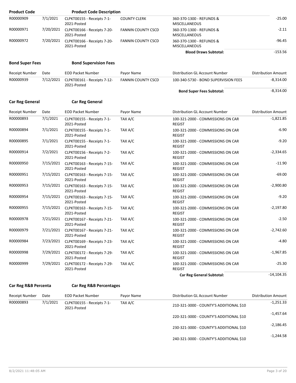| <b>Product Code</b>    |           | <b>Product Code Description</b>                      |                           |                                                    |                            |
|------------------------|-----------|------------------------------------------------------|---------------------------|----------------------------------------------------|----------------------------|
| R00000909              | 7/1/2021  | CLPKT00155 - Receipts 7-1-<br>2021-Posted            | <b>COUNTY CLERK</b>       | 360-370-1300 - REFUNDS &<br>MISCELLANEOUS          | $-25.00$                   |
| R00000971              |           | 7/20/2021 CLPKT00166 - Receipts 7-20-<br>2021-Posted | <b>FANNIN COUNTY CSCD</b> | 360-370-1300 - REFUNDS &<br>MISCELLANEOUS          | $-2.11$                    |
| R00000972              |           | 7/20/2021 CLPKT00166 - Receipts 7-20-<br>2021-Posted | <b>FANNIN COUNTY CSCD</b> | 360-370-1300 - REFUNDS &<br><b>MISCELLANEOUS</b>   | $-96.45$                   |
|                        |           |                                                      |                           | <b>Blood Draws Subtotal:</b>                       | $-153.56$                  |
| <b>Bond Super Fees</b> |           | <b>Bond Supervision Fees</b>                         |                           |                                                    |                            |
| Receipt Number         | Date      | <b>EOD Packet Number</b>                             | Payor Name                | Distribution GL Account Number                     | <b>Distribution Amount</b> |
| R00000939              | 7/12/2021 | CLPKT00161 - Receipts 7-12-<br>2021-Posted           | <b>FANNIN COUNTY CSCD</b> | 100-340-5730 - BOND SUPERVISION FEES               | $-8,314.00$                |
|                        |           |                                                      |                           | <b>Bond Super Fees Subtotal:</b>                   | $-8,314.00$                |
| <b>Car Reg General</b> |           | <b>Car Reg General</b>                               |                           |                                                    |                            |
| Receipt Number         | Date      | <b>EOD Packet Number</b>                             | Payor Name                | Distribution GL Account Number                     | <b>Distribution Amount</b> |
| R00000893              | 7/1/2021  | CLPKT00155 - Receipts 7-1-<br>2021-Posted            | TAX A/C                   | 100-321-2000 - COMMISSIONS ON CAR<br><b>REGIST</b> | $-1,821.85$                |
| R00000894              | 7/1/2021  | CLPKT00155 - Receipts 7-1-<br>2021-Posted            | TAX A/C                   | 100-321-2000 - COMMISSIONS ON CAR<br><b>REGIST</b> | $-6.90$                    |
| R00000895              | 7/1/2021  | CLPKT00155 - Receipts 7-1-<br>2021-Posted            | TAX A/C                   | 100-321-2000 - COMMISSIONS ON CAR<br><b>REGIST</b> | $-9.20$                    |
| R00000914              | 7/2/2021  | CLPKT00156 - Receipts 7-2-<br>2021-Posted            | TAX A/C                   | 100-321-2000 - COMMISSIONS ON CAR<br><b>REGIST</b> | -2,334.65                  |
| R00000950              | 7/15/2021 | CLPKT00163 - Receipts 7-15-<br>2021-Posted           | TAX A/C                   | 100-321-2000 - COMMISSIONS ON CAR<br><b>REGIST</b> | $-11.90$                   |
| R00000951              |           | 7/15/2021 CLPKT00163 - Receipts 7-15-<br>2021-Posted | TAX A/C                   | 100-321-2000 - COMMISSIONS ON CAR<br><b>REGIST</b> | $-69.00$                   |
| R00000953              | 7/15/2021 | CLPKT00163 - Receipts 7-15-<br>2021-Posted           | TAX A/C                   | 100-321-2000 - COMMISSIONS ON CAR<br><b>REGIST</b> | -2,900.80                  |
| R00000954              |           | 7/15/2021 CLPKT00163 - Receipts 7-15-<br>2021-Posted | TAX A/C                   | 100-321-2000 - COMMISSIONS ON CAR<br><b>REGIST</b> | $-9.20$                    |
| R00000955              |           | 7/15/2021 CLPKT00163 - Receipts 7-15-<br>2021-Posted | TAX A/C                   | 100-321-2000 - COMMISSIONS ON CAR<br><b>REGIST</b> | $-2,197.80$                |
| R00000978              | 7/21/2021 | CLPKT00167 - Receipts 7-21-<br>2021-Posted           | TAX A/C                   | 100-321-2000 - COMMISSIONS ON CAR<br><b>REGIST</b> | $-2.50$                    |
| R00000979              |           | 7/21/2021 CLPKT00167 - Receipts 7-21-<br>2021-Posted | TAX A/C                   | 100-321-2000 - COMMISSIONS ON CAR<br><b>REGIST</b> | $-2,742.60$                |
| R00000984              | 7/23/2021 | CLPKT00169 - Receipts 7-23-<br>2021-Posted           | TAX A/C                   | 100-321-2000 - COMMISSIONS ON CAR<br><b>REGIST</b> | $-4.80$                    |
| R00000998              |           | 7/29/2021 CLPKT00172 - Receipts 7-29-<br>2021-Posted | TAX A/C                   | 100-321-2000 - COMMISSIONS ON CAR<br><b>REGIST</b> | $-1,967.85$                |
| R00000999              | 7/29/2021 | CLPKT00172 - Receipts 7-29-<br>2021-Posted           | TAX A/C                   | 100-321-2000 - COMMISSIONS ON CAR<br><b>REGIST</b> | $-25.30$                   |
|                        |           |                                                      |                           | <b>Car Reg General Subtotal:</b>                   | $-14,104.35$               |

#### **Car Reg R&B Percenta Car Reg R&B Percentages**

| Receipt Number | Date     | <b>EOD Packet Number</b>                             | Pavor Name                              | Distribution GL Account Number          | <b>Distribution Amount</b> |
|----------------|----------|------------------------------------------------------|-----------------------------------------|-----------------------------------------|----------------------------|
| R00000893      | 7/1/2021 | TAX A/C<br>CLPKT00155 - Receipts 7-1-<br>2021-Posted |                                         | 210-321-3000 - COUNTY'S ADDITIONAL \$10 | $-1,251.33$                |
|                |          |                                                      | 220-321-3000 - COUNTY'S ADDITIONAL \$10 | $-1.457.64$                             |                            |
|                |          |                                                      | 230-321-3000 - COUNTY'S ADDITIONAL \$10 | $-2.186.45$                             |                            |

-1,244.58 240-321-3000 - COUNTY'S ADDITIONAL \$10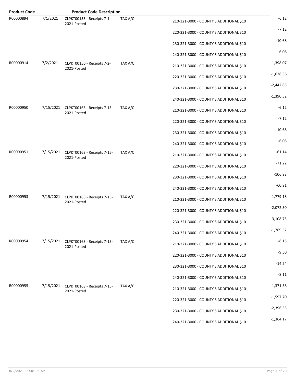| <b>Product Code</b> |           | <b>Product Code Description</b>                      |         |                                         |             |
|---------------------|-----------|------------------------------------------------------|---------|-----------------------------------------|-------------|
| R00000894           | 7/1/2021  | CLPKT00155 - Receipts 7-1-<br>2021-Posted            | TAX A/C | 210-321-3000 - COUNTY'S ADDITIONAL \$10 | $-6.12$     |
|                     |           |                                                      |         | 220-321-3000 - COUNTY'S ADDITIONAL \$10 | $-7.12$     |
|                     |           |                                                      |         | 230-321-3000 - COUNTY'S ADDITIONAL \$10 | $-10.68$    |
|                     |           |                                                      |         | 240-321-3000 - COUNTY'S ADDITIONAL \$10 | $-6.08$     |
| R00000914           | 7/2/2021  | CLPKT00156 - Receipts 7-2-<br>2021-Posted            | TAX A/C | 210-321-3000 - COUNTY'S ADDITIONAL \$10 | $-1,398.07$ |
|                     |           |                                                      |         | 220-321-3000 - COUNTY'S ADDITIONAL \$10 | $-1,628.56$ |
|                     |           |                                                      |         | 230-321-3000 - COUNTY'S ADDITIONAL \$10 | $-2,442.85$ |
|                     |           |                                                      |         | 240-321-3000 - COUNTY'S ADDITIONAL \$10 | $-1,390.52$ |
| R00000950           | 7/15/2021 | CLPKT00163 - Receipts 7-15-<br>2021-Posted           | TAX A/C | 210-321-3000 - COUNTY'S ADDITIONAL \$10 | $-6.12$     |
|                     |           |                                                      |         | 220-321-3000 - COUNTY'S ADDITIONAL \$10 | $-7.12$     |
|                     |           |                                                      |         | 230-321-3000 - COUNTY'S ADDITIONAL \$10 | $-10.68$    |
|                     |           |                                                      |         | 240-321-3000 - COUNTY'S ADDITIONAL \$10 | $-6.08$     |
| R00000951           |           | 7/15/2021 CLPKT00163 - Receipts 7-15-<br>2021-Posted | TAX A/C | 210-321-3000 - COUNTY'S ADDITIONAL \$10 | $-61.14$    |
|                     |           |                                                      |         | 220-321-3000 - COUNTY'S ADDITIONAL \$10 | $-71.22$    |
|                     |           |                                                      |         | 230-321-3000 - COUNTY'S ADDITIONAL \$10 | $-106.83$   |
|                     |           |                                                      |         | 240-321-3000 - COUNTY'S ADDITIONAL \$10 | $-60.81$    |
| R00000953           |           | 7/15/2021 CLPKT00163 - Receipts 7-15-<br>2021-Posted | TAX A/C | 210-321-3000 - COUNTY'S ADDITIONAL \$10 | $-1,779.18$ |
|                     |           |                                                      |         | 220-321-3000 - COUNTY'S ADDITIONAL \$10 | $-2,072.50$ |
|                     |           |                                                      |         | 230-321-3000 - COUNTY'S ADDITIONAL \$10 | $-3,108.75$ |
|                     |           |                                                      |         | 240-321-3000 - COUNTY'S ADDITIONAL \$10 | $-1,769.57$ |
| R00000954           | 7/15/2021 | CLPKT00163 - Receipts 7-15-<br>2021-Posted           | TAX A/C | 210-321-3000 - COUNTY'S ADDITIONAL \$10 | $-8.15$     |
|                     |           |                                                      |         | 220-321-3000 - COUNTY'S ADDITIONAL \$10 | $-9.50$     |
|                     |           |                                                      |         | 230-321-3000 - COUNTY'S ADDITIONAL \$10 | $-14.24$    |
|                     |           |                                                      |         | 240-321-3000 - COUNTY'S ADDITIONAL \$10 | $-8.11$     |
| R00000955           |           | 7/15/2021 CLPKT00163 - Receipts 7-15-<br>2021-Posted | TAX A/C | 210-321-3000 - COUNTY'S ADDITIONAL \$10 | $-1,371.58$ |
|                     |           |                                                      |         | 220-321-3000 - COUNTY'S ADDITIONAL \$10 | $-1,597.70$ |
|                     |           |                                                      |         | 230-321-3000 - COUNTY'S ADDITIONAL \$10 | $-2,396.55$ |
|                     |           |                                                      |         | 240-321-3000 - COUNTY'S ADDITIONAL \$10 | $-1,364.17$ |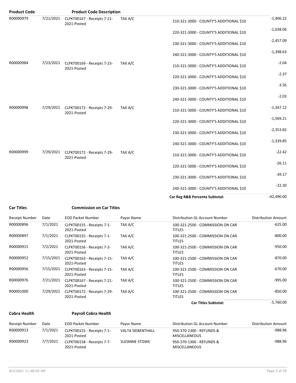| <b>Product Code</b> |           | <b>Product Code Description</b>            |         |                                         |              |
|---------------------|-----------|--------------------------------------------|---------|-----------------------------------------|--------------|
| R00000979           | 7/21/2021 | CLPKT00167 - Receipts 7-21-<br>2021-Posted | TAX A/C | 210-321-3000 - COUNTY'S ADDITIONAL \$10 | $-1,406.22$  |
|                     |           |                                            |         | 220-321-3000 - COUNTY'S ADDITIONAL \$10 | $-1,638.06$  |
|                     |           |                                            |         | 230-321-3000 - COUNTY'S ADDITIONAL \$10 | $-2,457.09$  |
|                     |           |                                            |         | 240-321-3000 - COUNTY'S ADDITIONAL \$10 | $-1,398.63$  |
| R00000984           | 7/23/2021 | CLPKT00169 - Receipts 7-23-<br>2021-Posted | TAX A/C | 210-321-3000 - COUNTY'S ADDITIONAL \$10 | $-2.04$      |
|                     |           |                                            |         | 220-321-3000 - COUNTY'S ADDITIONAL \$10 | $-2.37$      |
|                     |           |                                            |         | 230-321-3000 - COUNTY'S ADDITIONAL \$10 | $-3.56$      |
|                     |           |                                            |         | 240-321-3000 - COUNTY'S ADDITIONAL \$10 | $-2.03$      |
| R00000998           | 7/29/2021 | CLPKT00172 - Receipts 7-29-<br>2021-Posted | TAX A/C | 210-321-3000 - COUNTY'S ADDITIONAL \$10 | $-1,347.12$  |
|                     |           |                                            |         | 220-321-3000 - COUNTY'S ADDITIONAL \$10 | $-1,569.21$  |
|                     |           |                                            |         | 230-321-3000 - COUNTY'S ADDITIONAL \$10 | $-2,353.82$  |
|                     |           |                                            |         | 240-321-3000 - COUNTY'S ADDITIONAL \$10 | $-1,339.85$  |
| R00000999           | 7/29/2021 | CLPKT00172 - Receipts 7-29-<br>2021-Posted | TAX A/C | 210-321-3000 - COUNTY'S ADDITIONAL \$10 | $-22.42$     |
|                     |           |                                            |         | 220-321-3000 - COUNTY'S ADDITIONAL \$10 | $-26.11$     |
|                     |           |                                            |         | 230-321-3000 - COUNTY'S ADDITIONAL \$10 | $-39.17$     |
|                     |           |                                            |         | 240-321-3000 - COUNTY'S ADDITIONAL \$10 | $-22.30$     |
|                     |           |                                            |         | Car Reg R&B Percenta Subtotal:          | $-42,490.00$ |

**Car Titles Commission on Car Titles**

| <b>Receipt Number</b> | Date      | <b>EOD Packet Number</b>                   | Payor Name | Distribution GL Account Number                    | Distribution Amount |
|-----------------------|-----------|--------------------------------------------|------------|---------------------------------------------------|---------------------|
| R00000896             | 7/1/2021  | CLPKT00155 - Receipts 7-1-<br>2021-Posted  | TAX A/C    | 100-321-2500 - COMMISSION ON CAR<br><b>TITLES</b> | $-625.00$           |
| R00000897             | 7/1/2021  | CLPKT00155 - Receipts 7-1-<br>2021-Posted  | TAX A/C    | 100-321-2500 - COMMISSION ON CAR<br><b>TITLES</b> | $-800.00$           |
| R00000915             | 7/2/2021  | CLPKT00156 - Receipts 7-2-<br>2021-Posted  | TAX A/C    | 100-321-2500 - COMMISSION ON CAR<br><b>TITLES</b> | $-950.00$           |
| R00000952             | 7/15/2021 | CLPKT00163 - Receipts 7-15-<br>2021-Posted | TAX A/C    | 100-321-2500 - COMMISSION ON CAR<br><b>TITLES</b> | $-870.00$           |
| R00000956             | 7/15/2021 | CLPKT00163 - Receipts 7-15-<br>2021-Posted | TAX A/C    | 100-321-2500 - COMMISSION ON CAR<br><b>TITLES</b> | $-670.00$           |
| R00000976             | 7/21/2021 | CLPKT00167 - Receipts 7-21-<br>2021-Posted | TAX A/C    | 100-321-2500 - COMMISSION ON CAR<br><b>TITLES</b> | $-995.00$           |
| R00001000             | 7/29/2021 | CLPKT00172 - Receipts 7-29-<br>2021-Posted | TAX A/C    | 100-321-2500 - COMMISSION ON CAR<br><b>TITLES</b> | $-850.00$           |

#### Car Titles Subtotal:  $-5,760.00$

#### **Cobra Health Payroll Cobra Health**

| Receipt Number | Date     | <b>EOD Packet Number</b>                  | Payor Name        | Distribution GL Account Number                   | <b>Distribution Amount</b> |
|----------------|----------|-------------------------------------------|-------------------|--------------------------------------------------|----------------------------|
| R00000913      | 7/1/2021 | CLPKT00155 - Receipts 7-1-<br>2021-Posted | VALTA SIEBENTHALL | 950-370-1300 - REFUNDS &<br><b>MISCELLANEOUS</b> | -988.96                    |
| R00000923      | 7/7/2021 | CLPKT00158 - Receipts 7-7-<br>2021-Posted | SUZANNE STOWE     | 950-370-1300 - REFUNDS &<br><b>MISCELLANEOUS</b> | -988.96                    |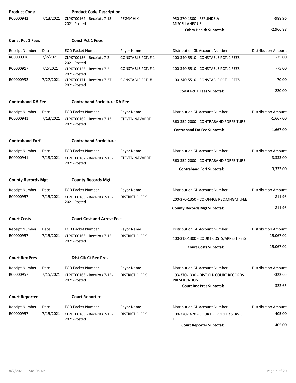| <b>Product Code</b>       |           | <b>Product Code Description</b>            |                          |                                                       |                            |
|---------------------------|-----------|--------------------------------------------|--------------------------|-------------------------------------------------------|----------------------------|
| R00000942                 | 7/13/2021 | CLPKT00162 - Receipts 7-13-<br>2021-Posted | PEGGY HIX                | 950-370-1300 - REFUNDS &<br><b>MISCELLANEOUS</b>      | $-988.96$                  |
|                           |           |                                            |                          | <b>Cobra Health Subtotal:</b>                         | $-2,966.88$                |
| <b>Const Pct 1 Fees</b>   |           | <b>Const Pct 1 Fees</b>                    |                          |                                                       |                            |
| <b>Receipt Number</b>     | Date      | <b>EOD Packet Number</b>                   | Payor Name               | Distribution GL Account Number                        | <b>Distribution Amount</b> |
| R00000916                 | 7/2/2021  | CLPKT00156 - Receipts 7-2-<br>2021-Posted  | <b>CONSTABLE PCT. #1</b> | 100-340-5510 - CONSTABLE PCT. 1 FEES                  | $-75.00$                   |
| R00000917                 | 7/2/2021  | CLPKT00156 - Receipts 7-2-<br>2021-Posted  | <b>CONSTABLE PCT. #1</b> | 100-340-5510 - CONSTABLE PCT. 1 FEES                  | $-75.00$                   |
| R00000992                 | 7/27/2021 | CLPKT00171 - Receipts 7-27-<br>2021-Posted | <b>CONSTABLE PCT. #1</b> | 100-340-5510 - CONSTABLE PCT. 1 FEES                  | $-70.00$                   |
|                           |           |                                            |                          | <b>Const Pct 1 Fees Subtotal:</b>                     | $-220.00$                  |
| <b>Contraband DA Fee</b>  |           | <b>Contraband Forfeiture DA Fee</b>        |                          |                                                       |                            |
| <b>Receipt Number</b>     | Date      | <b>EOD Packet Number</b>                   | Payor Name               | Distribution GL Account Number                        | <b>Distribution Amount</b> |
| R00000941                 | 7/13/2021 | CLPKT00162 - Receipts 7-13-<br>2021-Posted | <b>STEVEN NAVARRE</b>    | 360-352-2000 - CONTRABAND FORFEITURE                  | $-1,667.00$                |
|                           |           |                                            |                          | <b>Contraband DA Fee Subtotal:</b>                    | $-1,667.00$                |
| <b>Contraband Forf</b>    |           | <b>Contraband Fordeiture</b>               |                          |                                                       |                            |
| <b>Receipt Number</b>     | Date      | <b>EOD Packet Number</b>                   | Payor Name               | Distribution GL Account Number                        | <b>Distribution Amount</b> |
| R00000941                 | 7/13/2021 | CLPKT00162 - Receipts 7-13-<br>2021-Posted | <b>STEVEN NAVARRE</b>    | 560-352-2000 - CONTRABAND FORFEITURE                  | $-3,333.00$                |
|                           |           |                                            |                          | <b>Contraband Forf Subtotal:</b>                      | $-3,333.00$                |
| <b>County Records Mgt</b> |           | <b>County Records Mgt</b>                  |                          |                                                       |                            |
| <b>Receipt Number</b>     | Date      | <b>EOD Packet Number</b>                   | Payor Name               | Distribution GL Account Number                        | <b>Distribution Amount</b> |
| R00000957                 | 7/15/2021 | CLPKT00163 - Receipts 7-15-<br>2021-Posted | <b>DISTRICT CLERK</b>    | 200-370-1350 - CO.OFFICE REC.MNGMT.FEE                | $-811.93$                  |
|                           |           |                                            |                          | <b>County Records Mgt Subtotal:</b>                   | $-811.93$                  |
| <b>Court Costs</b>        |           | <b>Court Cost and Arrest Fees</b>          |                          |                                                       |                            |
| Receipt Number            | Date      | <b>EOD Packet Number</b>                   | Payor Name               | <b>Distribution GL Account Number</b>                 | <b>Distribution Amount</b> |
| R00000957                 | 7/15/2021 | CLPKT00163 - Receipts 7-15-<br>2021-Posted | <b>DISTRICT CLERK</b>    | 100-318-1300 - COURT COSTS/ARREST FEES                | $-15,067.02$               |
|                           |           |                                            |                          | <b>Court Costs Subtotal:</b>                          | $-15,067.02$               |
| <b>Court Rec Pres</b>     |           | <b>Dist Clk Ct Rec Pres</b>                |                          |                                                       |                            |
| <b>Receipt Number</b>     | Date      | <b>EOD Packet Number</b>                   | Payor Name               | Distribution GL Account Number                        | <b>Distribution Amount</b> |
| R00000957                 | 7/15/2021 | CLPKT00163 - Receipts 7-15-<br>2021-Posted | <b>DISTRICT CLERK</b>    | 193-370-1330 - DIST.CLK.COURT RECORDS<br>PRESERVATION | $-322.65$                  |
|                           |           |                                            |                          | <b>Court Rec Pres Subtotal:</b>                       | $-322.65$                  |
| <b>Court Reporter</b>     |           | <b>Court Reporter</b>                      |                          |                                                       |                            |
| <b>Receipt Number</b>     | Date      | <b>EOD Packet Number</b>                   | Payor Name               | Distribution GL Account Number                        | <b>Distribution Amount</b> |
| R00000957                 | 7/15/2021 | CLPKT00163 - Receipts 7-15-<br>2021-Posted | <b>DISTRICT CLERK</b>    | 100-370-1620 - COURT REPORTER SERVICE<br>FEE          | -405.00                    |
|                           |           |                                            |                          | <b>Court Reporter Subtotal:</b>                       | $-405.00$                  |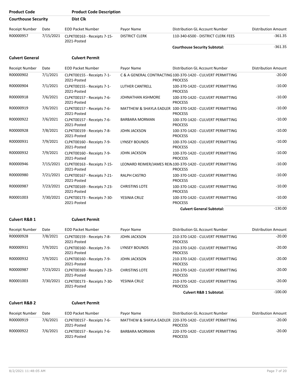| <b>Product Code</b>        |           | <b>Product Code Description</b>            |                       |                                                                               |                            |
|----------------------------|-----------|--------------------------------------------|-----------------------|-------------------------------------------------------------------------------|----------------------------|
| <b>Courthouse Security</b> |           | <b>Dist Clk</b>                            |                       |                                                                               |                            |
| Receipt Number             | Date      | <b>EOD Packet Number</b>                   | Payor Name            | Distribution GL Account Number                                                | <b>Distribution Amount</b> |
| R00000957                  | 7/15/2021 | CLPKT00163 - Receipts 7-15-<br>2021-Posted | <b>DISTRICT CLERK</b> | 110-340-6500 - DISTRICT CLERK FEES                                            | $-361.35$                  |
|                            |           |                                            |                       | <b>Courthouse Security Subtotal:</b>                                          | $-361.35$                  |
| <b>Culvert General</b>     |           | <b>Culvert Permit</b>                      |                       |                                                                               |                            |
| <b>Receipt Number</b>      | Date      | <b>EOD Packet Number</b>                   | Payor Name            | Distribution GL Account Number                                                | <b>Distribution Amount</b> |
| R00000902                  | 7/1/2021  | CLPKT00155 - Receipts 7-1-<br>2021-Posted  |                       | C & A GENERAL CONTRACTING 100-370-1420 - CULVERT PERMITTING<br><b>PROCESS</b> | $-20.00$                   |
| R00000904                  | 7/1/2021  | CLPKT00155 - Receipts 7-1-<br>2021-Posted  | LUTHER CANTRELL       | 100-370-1420 - CULVERT PERMITTING<br><b>PROCESS</b>                           | $-10.00$                   |
| R00000918                  | 7/6/2021  | CLPKT00157 - Receipts 7-6-<br>2021-Posted  | JOHNATHAN ASHMORE     | 100-370-1420 - CULVERT PERMITTING<br><b>PROCESS</b>                           | $-10.00$                   |
| R00000919                  | 7/6/2021  | CLPKT00157 - Receipts 7-6-<br>2021-Posted  |                       | MATTHEW & SHAYLA EADLER 100-370-1420 - CULVERT PERMITTING<br><b>PROCESS</b>   | $-10.00$                   |
| R00000922                  | 7/6/2021  | CLPKT00157 - Receipts 7-6-<br>2021-Posted  | <b>BARBARA MORMAN</b> | 100-370-1420 - CULVERT PERMITTING<br><b>PROCESS</b>                           | $-10.00$                   |
| R00000928                  | 7/8/2021  | CLPKT00159 - Receipts 7-8-<br>2021-Posted  | <b>JOHN JACKSON</b>   | 100-370-1420 - CULVERT PERMITTING<br><b>PROCESS</b>                           | $-10.00$                   |
| R00000931                  | 7/9/2021  | CLPKT00160 - Receipts 7-9-<br>2021-Posted  | LYNSEY BOUNDS         | 100-370-1420 - CULVERT PERMITTING<br><b>PROCESS</b>                           | $-10.00$                   |
| R00000932                  | 7/9/2021  | CLPKT00160 - Receipts 7-9-<br>2021-Posted  | <b>JOHN JACKSON</b>   | 100-370-1420 - CULVERT PERMITTING<br><b>PROCESS</b>                           | $-10.00$                   |
| R00000946                  | 7/15/2021 | CLPKT00163 - Receipts 7-15-<br>2021-Posted |                       | LEONARD REIMER/JAMES REIN100-370-1420 - CULVERT PERMITTING<br><b>PROCESS</b>  | $-10.00$                   |
| R00000980                  | 7/21/2021 | CLPKT00167 - Receipts 7-21-<br>2021-Posted | RALPH CASTRO          | 100-370-1420 - CULVERT PERMITTING<br><b>PROCESS</b>                           | $-10.00$                   |
| R00000987                  | 7/23/2021 | CLPKT00169 - Receipts 7-23-<br>2021-Posted | <b>CHRISTINS LOTE</b> | 100-370-1420 - CULVERT PERMITTING<br><b>PROCESS</b>                           | $-10.00$                   |
| R00001003                  | 7/30/2021 | CLPKT00173 - Receipts 7-30-<br>2021-Posted | YESINIA CRUZ          | 100-370-1420 - CULVERT PERMITTING<br><b>PROCESS</b>                           | $-10.00$                   |
|                            |           |                                            |                       | <b>Culvert General Subtotal:</b>                                              | $-130.00$                  |
| <b>Culvert R&amp;B 1</b>   |           | <b>Culvert Permit</b>                      |                       |                                                                               |                            |
| <b>Receipt Number</b>      | Date      | <b>EOD Packet Number</b>                   | Payor Name            | Distribution GL Account Number                                                | <b>Distribution Amount</b> |
| R00000928                  | 7/8/2021  | CLPKT00159 - Receipts 7-8-<br>2021-Posted  | JOHN JACKSON          | 210-370-1420 - CULVERT PERMITTING<br><b>PROCESS</b>                           | $-20.00$                   |
| R00000931                  | 7/9/2021  | CLPKT00160 - Receipts 7-9-<br>2021-Posted  | <b>LYNSEY BOUNDS</b>  | 210-370-1420 - CULVERT PERMITTING<br><b>PROCESS</b>                           | $-20.00$                   |
| R00000932                  | 7/9/2021  | CLPKT00160 - Receipts 7-9-<br>2021-Posted  | JOHN JACKSON          | 210-370-1420 - CULVERT PERMITTING<br><b>PROCESS</b>                           | $-20.00$                   |
| R00000987                  | 7/23/2021 | CLPKT00169 - Receipts 7-23-<br>2021-Posted | <b>CHRISTINS LOTE</b> | 210-370-1420 - CULVERT PERMITTING<br><b>PROCESS</b>                           | $-20.00$                   |
| R00001003                  | 7/30/2021 | CLPKT00173 - Receipts 7-30-<br>2021-Posted | YESINIA CRUZ          | 210-370-1420 - CULVERT PERMITTING<br><b>PROCESS</b>                           | $-20.00$                   |

```
Culvert R&B 1 Subtotal: -100.00
```
**Culvert R&B 2 Culvert Permit**

| Receipt Number | Date     | EOD Packet Number                         | Pavor Name     | Distribution GL Account Number                                              | <b>Distribution Amount</b> |
|----------------|----------|-------------------------------------------|----------------|-----------------------------------------------------------------------------|----------------------------|
| R00000919      | 7/6/2021 | CLPKT00157 - Receipts 7-6-<br>2021-Posted |                | MATTHEW & SHAYLA EADLER 220-370-1420 - CULVERT PERMITTING<br><b>PROCESS</b> | $-20.00$                   |
| R00000922      | 7/6/2021 | CLPKT00157 - Receipts 7-6-<br>2021-Posted | BARBARA MORMAN | 220-370-1420 - CULVERT PERMITTING<br><b>PROCESS</b>                         | $-20.00$                   |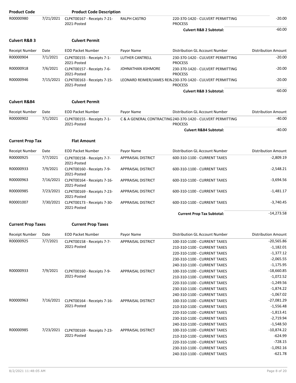| <b>Product Code</b>       |           | <b>Product Code Description</b>            |                           |                                                                               |                            |
|---------------------------|-----------|--------------------------------------------|---------------------------|-------------------------------------------------------------------------------|----------------------------|
| R00000980                 | 7/21/2021 | CLPKT00167 - Receipts 7-21-<br>2021-Posted | <b>RALPH CASTRO</b>       | 220-370-1420 - CULVERT PERMITTING<br><b>PROCESS</b>                           | -20.00                     |
|                           |           |                                            |                           | <b>Culvert R&amp;B 2 Subtotal:</b>                                            | $-60.00$                   |
| <b>Culvert R&amp;B 3</b>  |           | <b>Culvert Permit</b>                      |                           |                                                                               |                            |
| <b>Receipt Number</b>     | Date      | <b>EOD Packet Number</b>                   | Payor Name                | Distribution GL Account Number                                                | Distribution Amount        |
| R00000904                 | 7/1/2021  | CLPKT00155 - Receipts 7-1-<br>2021-Posted  | LUTHER CANTRELL           | 230-370-1420 - CULVERT PERMITTING<br><b>PROCESS</b>                           | $-20.00$                   |
| R00000918                 | 7/6/2021  | CLPKT00157 - Receipts 7-6-<br>2021-Posted  | JOHNATHAN ASHMORE         | 230-370-1420 - CULVERT PERMITTING<br><b>PROCESS</b>                           | $-20.00$                   |
| R00000946                 | 7/15/2021 | CLPKT00163 - Receipts 7-15-<br>2021-Posted |                           | LEONARD REIMER/JAMES REIN230-370-1420 - CULVERT PERMITTING<br><b>PROCESS</b>  | $-20.00$                   |
|                           |           |                                            |                           | <b>Culvert R&amp;B 3 Subtotal:</b>                                            | $-60.00$                   |
| <b>Culvert R&amp;B4</b>   |           | <b>Culvert Permit</b>                      |                           |                                                                               |                            |
| <b>Receipt Number</b>     | Date      | <b>EOD Packet Number</b>                   | Payor Name                | Distribution GL Account Number                                                | <b>Distribution Amount</b> |
| R00000902                 | 7/1/2021  | CLPKT00155 - Receipts 7-1-<br>2021-Posted  |                           | C & A GENERAL CONTRACTING 240-370-1420 - CULVERT PERMITTING<br><b>PROCESS</b> | $-40.00$                   |
|                           |           |                                            |                           | <b>Culvert R&amp;B4 Subtotal:</b>                                             | $-40.00$                   |
| <b>Current Prop Tax</b>   |           | <b>Flat Amount</b>                         |                           |                                                                               |                            |
| Receipt Number            | Date      | <b>EOD Packet Number</b>                   | Payor Name                | Distribution GL Account Number                                                | <b>Distribution Amount</b> |
| R00000925                 | 7/7/2021  | CLPKT00158 - Receipts 7-7-                 | <b>APPRAISAL DISTRICT</b> | 600-310-1100 - CURRENT TAXES                                                  | $-2,809.19$                |
|                           |           | 2021-Posted                                |                           |                                                                               |                            |
| R00000933                 | 7/9/2021  | CLPKT00160 - Receipts 7-9-<br>2021-Posted  | APPRAISAL DISTRICT        | 600-310-1100 - CURRENT TAXES                                                  | $-2,548.21$                |
| R00000963                 | 7/16/2021 | CLPKT00164 - Receipts 7-16-<br>2021-Posted | APPRAISAL DISTRICT        | 600-310-1100 - CURRENT TAXES                                                  | $-3,694.56$                |
| R00000985                 | 7/23/2021 | CLPKT00169 - Receipts 7-23-<br>2021-Posted | APPRAISAL DISTRICT        | 600-310-1100 - CURRENT TAXES                                                  | $-1,481.17$                |
| R00001007                 | 7/30/2021 | CLPKT00173 - Receipts 7-30-<br>2021-Posted | <b>APPRAISAL DISTRICT</b> | 600-310-1100 - CURRENT TAXES                                                  | $-3,740.45$                |
|                           |           |                                            |                           | <b>Current Prop Tax Subtotal:</b>                                             | $-14,273.58$               |
| <b>Current Prop Taxes</b> |           | <b>Current Prop Taxes</b>                  |                           |                                                                               |                            |
|                           |           |                                            |                           |                                                                               |                            |
| Receipt Number            | Date      | <b>EOD Packet Number</b>                   | Payor Name                | Distribution GL Account Number                                                | <b>Distribution Amount</b> |
| R00000925                 | 7/7/2021  | CLPKT00158 - Receipts 7-7-<br>2021-Posted  | APPRAISAL DISTRICT        | 100-310-1100 - CURRENT TAXES                                                  | $-20,565.86$               |
|                           |           |                                            |                           | 210-310-1100 - CURRENT TAXES                                                  | $-1,182.01$                |
|                           |           |                                            |                           | 220-310-1100 - CURRENT TAXES                                                  | $-1,377.12$                |
|                           |           |                                            |                           | 230-310-1100 - CURRENT TAXES                                                  | $-2,065.55$                |
|                           |           |                                            |                           | 240-310-1100 - CURRENT TAXES                                                  | $-1,175.95$                |
| R00000933                 | 7/9/2021  | CLPKT00160 - Receipts 7-9-                 | <b>APPRAISAL DISTRICT</b> | 100-310-1100 - CURRENT TAXES                                                  | $-18,660.85$               |
|                           |           | 2021-Posted                                |                           | 210-310-1100 - CURRENT TAXES                                                  | $-1,072.52$                |
|                           |           |                                            |                           | 220-310-1100 - CURRENT TAXES                                                  | $-1,249.56$                |
|                           |           |                                            |                           | 230-310-1100 - CURRENT TAXES                                                  | $-1,874.22$                |
|                           |           |                                            |                           | 240-310-1100 - CURRENT TAXES                                                  | $-1,067.02$                |
| R00000963                 | 7/16/2021 | CLPKT00164 - Receipts 7-16-                | <b>APPRAISAL DISTRICT</b> | 100-310-1100 - CURRENT TAXES                                                  | $-27,081.29$               |
|                           |           | 2021-Posted                                |                           | 210-310-1100 - CURRENT TAXES                                                  | $-1,556.48$                |
|                           |           |                                            |                           | 220-310-1100 - CURRENT TAXES                                                  | $-1,813.41$                |
|                           |           |                                            |                           | 230-310-1100 - CURRENT TAXES                                                  | $-2,719.94$                |
|                           |           |                                            |                           | 240-310-1100 - CURRENT TAXES                                                  | $-1,548.50$                |
| R00000985                 | 7/23/2021 | CLPKT00169 - Receipts 7-23-                | <b>APPRAISAL DISTRICT</b> | 100-310-1100 - CURRENT TAXES                                                  | $-10,874.22$               |
|                           |           | 2021-Posted                                |                           | 210-310-1100 - CURRENT TAXES                                                  | $-624.99$                  |
|                           |           |                                            |                           | 220-310-1100 - CURRENT TAXES                                                  | $-728.15$                  |
|                           |           |                                            |                           | 230-310-1100 - CURRENT TAXES                                                  | $-1,092.16$                |
|                           |           |                                            |                           | 240-310-1100 - CURRENT TAXES                                                  | $-621.78$                  |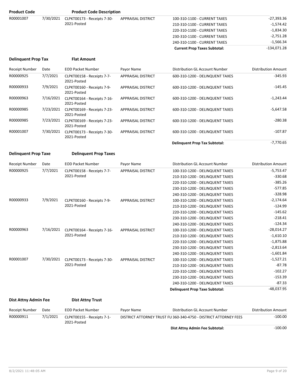| <b>Product Code</b>        |           | <b>Product Code Description</b> |                           |                                     |                     |
|----------------------------|-----------|---------------------------------|---------------------------|-------------------------------------|---------------------|
| R00001007                  | 7/30/2021 | CLPKT00173 - Receipts 7-30-     | <b>APPRAISAL DISTRICT</b> | 100-310-1100 - CURRENT TAXES        | -27,393.36          |
|                            |           | 2021-Posted                     |                           | 210-310-1100 - CURRENT TAXES        | $-1,574.42$         |
|                            |           |                                 |                           | 220-310-1100 - CURRENT TAXES        | -1,834.30           |
|                            |           |                                 |                           | 230-310-1100 - CURRENT TAXES        | $-2,751.28$         |
|                            |           |                                 |                           | 240-310-1100 - CURRENT TAXES        | $-1,566.34$         |
|                            |           |                                 |                           | <b>Current Prop Taxes Subtotal:</b> | $-134,071.28$       |
| <b>Delinguent Prop Tax</b> |           | <b>Flat Amount</b>              |                           |                                     |                     |
| Receipt Number             | Date      | <b>EOD Packet Number</b>        | Pavor Name                | Distribution GL Account Number      | Distribution Amount |

| <b>INCREIDE INQUINER</b> | <b>Ducc</b> | L V V I UCKC L I IUI I I IVCI              |                           | PIJU INUUDIT OL AUUDUITU ITUITINUT   | piju i pauvi milovi i t |
|--------------------------|-------------|--------------------------------------------|---------------------------|--------------------------------------|-------------------------|
| R00000925                | 7/7/2021    | CLPKT00158 - Receipts 7-7-<br>2021-Posted  | <b>APPRAISAL DISTRICT</b> | 600-310-1200 - DELINQUENT TAXES      | $-345.93$               |
| R00000933                | 7/9/2021    | CLPKT00160 - Receipts 7-9-<br>2021-Posted  | <b>APPRAISAL DISTRICT</b> | 600-310-1200 - DELINQUENT TAXES      | $-145.45$               |
| R00000963                | 7/16/2021   | CLPKT00164 - Receipts 7-16-<br>2021-Posted | <b>APPRAISAL DISTRICT</b> | 600-310-1200 - DELINQUENT TAXES      | $-1,243.44$             |
| R00000985                | 7/23/2021   | CLPKT00169 - Receipts 7-23-<br>2021-Posted | <b>APPRAISAL DISTRICT</b> | 600-310-1200 - DELINQUENT TAXES      | $-5,647.58$             |
| R00000985                | 7/23/2021   | CLPKT00169 - Receipts 7-23-<br>2021-Posted | <b>APPRAISAL DISTRICT</b> | 600-310-1200 - DELINQUENT TAXES      | $-280.38$               |
| R00001007                | 7/30/2021   | CLPKT00173 - Receipts 7-30-<br>2021-Posted | <b>APPRAISAL DISTRICT</b> | 600-310-1200 - DELINQUENT TAXES      | $-107.87$               |
|                          |             |                                            |                           | <b>Delinquent Prop Tax Subtotal:</b> | $-7,770.65$             |
|                          |             |                                            |                           |                                      |                         |

#### **Delinquent Prop Taxe Delinquent Prop Taxes**

| <b>Receipt Number</b>       | Date      | <b>EOD Packet Number</b>    | Payor Name                | Distribution GL Account Number        | <b>Distribution Amount</b> |
|-----------------------------|-----------|-----------------------------|---------------------------|---------------------------------------|----------------------------|
| R00000925                   | 7/7/2021  | CLPKT00158 - Receipts 7-7-  | <b>APPRAISAL DISTRICT</b> | 100-310-1200 - DELINQUENT TAXES       | $-5,753.47$                |
|                             |           | 2021-Posted                 |                           | 210-310-1200 - DELINQUENT TAXES       | $-330.68$                  |
|                             |           |                             |                           | 220-310-1200 - DELINQUENT TAXES       | $-385.26$                  |
|                             |           |                             |                           | 230-310-1200 - DELINQUENT TAXES       | $-577.85$                  |
|                             |           |                             |                           | 240-310-1200 - DELINQUENT TAXES       | $-328.98$                  |
| R00000933                   | 7/9/2021  | CLPKT00160 - Receipts 7-9-  | APPRAISAL DISTRICT        | 100-310-1200 - DELINQUENT TAXES       | $-2,174.64$                |
|                             |           | 2021-Posted                 |                           | 210-310-1200 - DELINQUENT TAXES       | $-124.99$                  |
|                             |           |                             |                           | 220-310-1200 - DELINQUENT TAXES       | $-145.62$                  |
|                             |           |                             |                           | 230-310-1200 - DELINQUENT TAXES       | $-218.41$                  |
|                             |           |                             |                           | 240-310-1200 - DELINQUENT TAXES       | $-124.34$                  |
| R00000963                   | 7/16/2021 | CLPKT00164 - Receipts 7-16- | <b>APPRAISAL DISTRICT</b> | 100-310-1200 - DELINQUENT TAXES       | $-28,014.27$               |
|                             |           | 2021-Posted                 |                           | 210-310-1200 - DELINQUENT TAXES       | $-1,610.10$                |
|                             |           |                             |                           | 220-310-1200 - DELINQUENT TAXES       | $-1,875.88$                |
|                             |           |                             |                           | 230-310-1200 - DELINQUENT TAXES       | $-2,813.64$                |
|                             |           |                             |                           | 240-310-1200 - DELINQUENT TAXES       | $-1,601.84$                |
| R00001007                   | 7/30/2021 | CLPKT00173 - Receipts 7-30- | <b>APPRAISAL DISTRICT</b> | 100-310-1200 - DELINQUENT TAXES       | $-1,527.21$                |
|                             |           | 2021-Posted                 |                           | 210-310-1200 - DELINQUENT TAXES       | $-87.78$                   |
|                             |           |                             |                           | 220-310-1200 - DELINQUENT TAXES       | $-102.27$                  |
|                             |           |                             |                           | 230-310-1200 - DELINQUENT TAXES       | $-153.39$                  |
|                             |           |                             |                           | 240-310-1200 - DELINQUENT TAXES       | $-87.33$                   |
|                             |           |                             |                           | <b>Delinquent Prop Taxe Subtotal:</b> | -48,037.95                 |
| <b>Dist Attny Admin Fee</b> |           | <b>Dist Attny Trust</b>     |                           |                                       |                            |

Receipt Number Date EOD Packet Number Payor Name Distribution GL Account Number Distribution Amount R00000911 7/1/2021 CLPKT00155 - Receipts 7-1- 2021-Posted DISTRICT ATTORNEY TRUST FUI360-340-4750 - DISTRICT ATTORNEY FEES -100.00

**Dist Attny Admin Fee Subtotal:**  $\frac{-100.00}{\sqrt{100}}$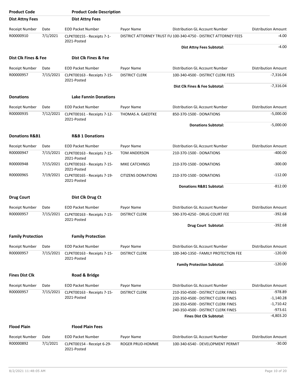| <b>Product Code</b>                |                   | <b>Product Code Description</b>                         |                                     |                                                                       |                                         |
|------------------------------------|-------------------|---------------------------------------------------------|-------------------------------------|-----------------------------------------------------------------------|-----------------------------------------|
| <b>Dist Attny Fees</b>             |                   | <b>Dist Attny Fees</b>                                  |                                     |                                                                       |                                         |
| Receipt Number                     | Date              | <b>EOD Packet Number</b>                                | Payor Name                          | Distribution GL Account Number                                        | <b>Distribution Amount</b>              |
| R00000910                          | 7/1/2021          | CLPKT00155 - Receipts 7-1-<br>2021-Posted               |                                     | DISTRICT ATTORNEY TRUST FU 100-340-4750 - DISTRICT ATTORNEY FEES      | $-4.00$                                 |
|                                    |                   |                                                         |                                     | Dist Attny Fees Subtotal:                                             | $-4.00$                                 |
| Dist Clk Fines & Fee               |                   | Dist Clk Fines & Fee                                    |                                     |                                                                       |                                         |
| <b>Receipt Number</b>              | Date              | <b>EOD Packet Number</b>                                | Payor Name                          | Distribution GL Account Number                                        | <b>Distribution Amount</b>              |
| R00000957                          | 7/15/2021         | CLPKT00163 - Receipts 7-15-                             | <b>DISTRICT CLERK</b>               | 100-340-4500 - DISTRICT CLERK FEES                                    | $-7,316.04$                             |
|                                    |                   | 2021-Posted                                             |                                     | Dist Clk Fines & Fee Subtotal:                                        | $-7,316.04$                             |
| <b>Donations</b>                   |                   | <b>Lake Fannin Donations</b>                            |                                     |                                                                       |                                         |
|                                    | Date              | <b>EOD Packet Number</b>                                |                                     | Distribution GL Account Number                                        | <b>Distribution Amount</b>              |
| <b>Receipt Number</b><br>R00000935 | 7/12/2021         | CLPKT00161 - Receipts 7-12-                             | Payor Name<br>THOMAS A. GAEDTKE     | 850-370-1500 - DONATIONS                                              | $-5,000.00$                             |
|                                    |                   | 2021-Posted                                             |                                     |                                                                       |                                         |
|                                    |                   |                                                         |                                     | <b>Donations Subtotal:</b>                                            | $-5,000.00$                             |
| <b>Donations R&amp;B1</b>          |                   | <b>R&amp;B 1 Donations</b>                              |                                     |                                                                       |                                         |
| Receipt Number                     | Date              | <b>EOD Packet Number</b>                                | Payor Name                          | Distribution GL Account Number                                        | <b>Distribution Amount</b>              |
| R00000947                          | 7/15/2021         | CLPKT00163 - Receipts 7-15-<br>2021-Posted              | <b>TOM ANDERSON</b>                 | 210-370-1500 - DONATIONS                                              | $-400.00$                               |
| R00000948                          | 7/15/2021         | CLPKT00163 - Receipts 7-15-<br>2021-Posted              | MIKE CATCHINGS                      | 210-370-1500 - DONATIONS                                              | $-300.00$                               |
| R00000965                          | 7/19/2021         | CLPKT00165 - Receipts 7-19-<br>2021-Posted              | <b>CITIZENS DONATIONS</b>           | 210-370-1500 - DONATIONS                                              | $-112.00$                               |
|                                    |                   |                                                         |                                     | Donations R&B1 Subtotal:                                              | $-812.00$                               |
| <b>Drug Court</b>                  |                   | Dist Clk Drug Ct                                        |                                     |                                                                       |                                         |
| <b>Receipt Number</b>              | Date              | <b>EOD Packet Number</b>                                | Payor Name                          | Distribution GL Account Number                                        | <b>Distribution Amount</b>              |
| R00000957                          | 7/15/2021         | CLPKT00163 - Receipts 7-15-<br>2021-Posted              | <b>DISTRICT CLERK</b>               | 590-370-4250 - DRUG COURT FEE                                         | $-392.68$                               |
|                                    |                   |                                                         |                                     | Drug Court Subtotal:                                                  | $-392.68$                               |
| <b>Family Protection</b>           |                   | <b>Family Protection</b>                                |                                     |                                                                       |                                         |
| <b>Receipt Number</b>              | Date              | <b>EOD Packet Number</b>                                | Payor Name                          | Distribution GL Account Number                                        | <b>Distribution Amount</b>              |
| R00000957                          | 7/15/2021         | CLPKT00163 - Receipts 7-15-                             | <b>DISTRICT CLERK</b>               | 100-340-1350 - FAMILY PROTECTION FEE                                  | $-120.00$                               |
|                                    |                   | 2021-Posted                                             |                                     | <b>Family Protection Subtotal:</b>                                    | $-120.00$                               |
| <b>Fines Dist Clk</b>              |                   | Road & Bridge                                           |                                     |                                                                       |                                         |
|                                    |                   |                                                         |                                     |                                                                       |                                         |
| <b>Receipt Number</b><br>R00000957 | Date<br>7/15/2021 | <b>EOD Packet Number</b><br>CLPKT00163 - Receipts 7-15- | Payor Name<br><b>DISTRICT CLERK</b> | Distribution GL Account Number<br>210-350-4500 - DISTRICT CLERK FINES | <b>Distribution Amount</b><br>$-978.89$ |
|                                    |                   | 2021-Posted                                             |                                     | 220-350-4500 - DISTRICT CLERK FINES                                   | $-1,140.28$                             |
|                                    |                   |                                                         |                                     | 230-350-4500 - DISTRICT CLERK FINES                                   | $-1,710.42$                             |
|                                    |                   |                                                         |                                     | 240-350-4500 - DISTRICT CLERK FINES                                   | $-973.61$                               |
|                                    |                   |                                                         |                                     | <b>Fines Dist Clk Subtotal:</b>                                       | $-4,803.20$                             |
| <b>Flood Plain</b>                 |                   | <b>Flood Plain Fees</b>                                 |                                     |                                                                       |                                         |
| <b>Receipt Number</b>              | Date              | <b>EOD Packet Number</b>                                | Payor Name                          | Distribution GL Account Number                                        | <b>Distribution Amount</b>              |
| R00000892                          | 7/1/2021          | CLPKT00154 - Receipt 6-29-                              | ROGER PRUD-HOMME                    | 100-340-6540 - DEVELOPMENT PERMIT                                     | $-30.00$                                |
|                                    |                   | 2021-Posted                                             |                                     |                                                                       |                                         |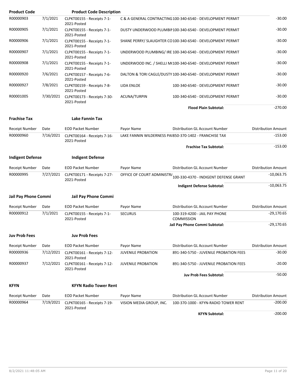| <b>Product Code</b>     |           | <b>Product Code Description</b>            |                           |                                                                 |                            |
|-------------------------|-----------|--------------------------------------------|---------------------------|-----------------------------------------------------------------|----------------------------|
| R00000903               | 7/1/2021  | CLPKT00155 - Receipts 7-1-<br>2021-Posted  |                           | C & A GENERAL CONTRACTING 100-340-6540 - DEVELOPMENT PERMIT     | $-30.00$                   |
| R00000905               | 7/1/2021  | CLPKT00155 - Receipts 7-1-<br>2021-Posted  |                           | DUSTY UNDERWOOD PLUMBIN100-340-6540 - DEVELOPMENT PERMIT        | $-30.00$                   |
| R00000906               | 7/1/2021  | CLPKT00155 - Receipts 7-1-<br>2021-Posted  |                           | SHANE PERRY/ SLAUGHTER CO100-340-6540 - DEVELOPMENT PERMIT      | $-30.00$                   |
| R00000907               | 7/1/2021  | CLPKT00155 - Receipts 7-1-<br>2021-Posted  |                           | UNDERWOOD PLUMBING/ IREI100-340-6540 - DEVELOPMENT PERMIT       | $-30.00$                   |
| R00000908               | 7/1/2021  | CLPKT00155 - Receipts 7-1-<br>2021-Posted  |                           | UNDERWOOD INC. / SHELLI M(100-340-6540 - DEVELOPMENT PERMIT     | $-30.00$                   |
| R00000920               | 7/6/2021  | CLPKT00157 - Receipts 7-6-<br>2021-Posted  |                           | DALTON & TORI CAGLE/DUSTY 100-340-6540 - DEVELOPMENT PERMIT     | $-30.00$                   |
| R00000927               | 7/8/2021  | CLPKT00159 - Receipts 7-8-<br>2021-Posted  | LIDA ENLOE                | 100-340-6540 - DEVELOPMENT PERMIT                               | $-30.00$                   |
| R00001005               | 7/30/2021 | CLPKT00173 - Receipts 7-30-<br>2021-Posted | ACUNA/TURPIN              | 100-340-6540 - DEVELOPMENT PERMIT                               | $-30.00$                   |
|                         |           |                                            |                           | <b>Flood Plain Subtotal:</b>                                    | $-270.00$                  |
| <b>Frachise Tax</b>     |           | <b>Lake Fannin Tax</b>                     |                           |                                                                 |                            |
| Receipt Number          | Date      | <b>EOD Packet Number</b>                   | Payor Name                | Distribution GL Account Number                                  | <b>Distribution Amount</b> |
| R00000960               | 7/16/2021 | CLPKT00164 - Receipts 7-16-<br>2021-Posted |                           | LAKE FANNIN WILDERNESS PAI850-370-1402 - FRANCHISE TAX          | $-153.00$                  |
|                         |           |                                            |                           | <b>Frachise Tax Subtotal:</b>                                   | $-153.00$                  |
| <b>Indigent Defense</b> |           | <b>Indigent Defense</b>                    |                           |                                                                 |                            |
| Receipt Number          | Date      | <b>EOD Packet Number</b>                   | Payor Name                | Distribution GL Account Number                                  | <b>Distribution Amount</b> |
| R00000995               | 7/27/2021 | CLPKT00171 - Receipts 7-27-<br>2021-Posted |                           | OFFICE OF COURT ADMINISTR/100-330-4370 - INDIGENT DEFENSE GRANT | $-10,063.75$               |
|                         |           |                                            |                           | Indigent Defense Subtotal:                                      | $-10,063.75$               |
| Jail Pay Phone Commi    |           | Jail Pay Phone Commi                       |                           |                                                                 |                            |
| Receipt Number          | Date      | <b>EOD Packet Number</b>                   | Payor Name                | Distribution GL Account Number                                  | Distribution Amount        |
| R00000912               | 7/1/2021  | CLPKT00155 - Receipts 7-1-<br>2021-Posted  | <b>SECURUS</b>            | 100-319-4200 - JAIL PAY PHONE<br><b>COMMISSION</b>              | $-29,170.65$               |
|                         |           |                                            |                           | Jail Pay Phone Commi Subtotal:                                  | $-29,170.65$               |
| <b>Juv Prob Fees</b>    |           | <b>Juv Prob Fees</b>                       |                           |                                                                 |                            |
| <b>Receipt Number</b>   | Date      | <b>EOD Packet Number</b>                   | Payor Name                | Distribution GL Account Number                                  | <b>Distribution Amount</b> |
| R00000936               | 7/12/2021 | CLPKT00161 - Receipts 7-12-<br>2021-Posted | <b>JUVENILE PROBATION</b> | 891-340-5750 - JUVENILE PROBATION FEES                          | $-30.00$                   |
| R00000937               | 7/12/2021 | CLPKT00161 - Receipts 7-12-<br>2021-Posted | <b>JUVENILE PROBATION</b> | 891-340-5750 - JUVENILE PROBATION FEES                          | $-20.00$                   |
|                         |           |                                            |                           | <b>Juv Prob Fees Subtotal:</b>                                  | $-50.00$                   |
| <b>KFYN</b>             |           | <b>KFYN Radio Tower Rent</b>               |                           |                                                                 |                            |
| Receipt Number          | Date      | <b>EOD Packet Number</b>                   | Payor Name                | Distribution GL Account Number                                  | <b>Distribution Amount</b> |
| R00000964               | 7/19/2021 | CLPKT00165 - Receipts 7-19-<br>2021-Posted | VISION MEDIA GROUP, INC.  | 100-370-1000 - KFYN-RADIO TOWER RENT                            | $-200.00$                  |
|                         |           |                                            |                           | <b>KFYN Subtotal:</b>                                           | $-200.00$                  |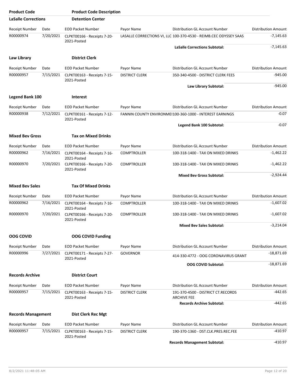| <b>Product Code</b>        |           | <b>Product Code Description</b>            |                       |                                                                   |                            |
|----------------------------|-----------|--------------------------------------------|-----------------------|-------------------------------------------------------------------|----------------------------|
| <b>LaSalle Corrections</b> |           | <b>Detention Center</b>                    |                       |                                                                   |                            |
| <b>Receipt Number</b>      | Date      | <b>EOD Packet Number</b>                   | Payor Name            | Distribution GL Account Number                                    | <b>Distribution Amount</b> |
| R00000974                  | 7/20/2021 | CLPKT00166 - Receipts 7-20-<br>2021-Posted |                       | LASALLE CORRECTIONS VI, LLC 100-370-4530 - REIMB.CEC ODYSSEY SAAS | $-7,145.63$                |
|                            |           |                                            |                       | <b>LaSalle Corrections Subtotal:</b>                              | $-7,145.63$                |
| Law Library                |           | <b>District Clerk</b>                      |                       |                                                                   |                            |
| <b>Receipt Number</b>      | Date      | <b>EOD Packet Number</b>                   | Payor Name            | <b>Distribution GL Account Number</b>                             | <b>Distribution Amount</b> |
| R00000957                  | 7/15/2021 | CLPKT00163 - Receipts 7-15-<br>2021-Posted | <b>DISTRICT CLERK</b> | 350-340-4500 - DISTRICT CLERK FEES                                | $-945.00$                  |
|                            |           |                                            |                       | Law Library Subtotal:                                             | $-945.00$                  |
| <b>Legend Bank 100</b>     |           | <b>Interest</b>                            |                       |                                                                   |                            |
| Receipt Number             | Date      | <b>EOD Packet Number</b>                   | Payor Name            | Distribution GL Account Number                                    | <b>Distribution Amount</b> |
| R00000938                  | 7/12/2021 | CLPKT00161 - Receipts 7-12-<br>2021-Posted |                       | FANNIN COUNTY ENVIRONMEI100-360-1000 - INTEREST EARNINGS          | $-0.07$                    |
|                            |           |                                            |                       | Legend Bank 100 Subtotal:                                         | $-0.07$                    |
| <b>Mixed Bev Gross</b>     |           | <b>Tax on Mixed Drinks</b>                 |                       |                                                                   |                            |
| <b>Receipt Number</b>      | Date      | <b>EOD Packet Number</b>                   | Payor Name            | Distribution GL Account Number                                    | <b>Distribution Amount</b> |
| R00000962                  | 7/16/2021 | CLPKT00164 - Receipts 7-16-<br>2021-Posted | <b>COMPTROLLER</b>    | 100-318-1400 - TAX ON MIXED DRINKS                                | $-1,462.22$                |
| R00000970                  | 7/20/2021 | CLPKT00166 - Receipts 7-20-<br>2021-Posted | <b>COMPTROLLER</b>    | 100-318-1400 - TAX ON MIXED DRINKS                                | $-1,462.22$                |
|                            |           |                                            |                       | <b>Mixed Bev Gross Subtotal:</b>                                  | $-2,924.44$                |
| <b>Mixed Bev Sales</b>     |           | <b>Tax Of Mixed Drinks</b>                 |                       |                                                                   |                            |
| <b>Receipt Number</b>      | Date      | <b>EOD Packet Number</b>                   | Payor Name            | Distribution GL Account Number                                    | <b>Distribution Amount</b> |
| R00000962                  | 7/16/2021 | CLPKT00164 - Receipts 7-16-<br>2021-Posted | <b>COMPTROLLER</b>    | 100-318-1400 - TAX ON MIXED DRINKS                                | $-1,607.02$                |
| R00000970                  | 7/20/2021 | CLPKT00166 - Receipts 7-20-<br>2021-Posted | <b>COMPTROLLER</b>    | 100-318-1400 - TAX ON MIXED DRINKS                                | $-1,607.02$                |
|                            |           |                                            |                       | <b>Mixed Bev Sales Subtotal:</b>                                  | $-3.214.04$                |
| <b>OOG COVID</b>           |           | <b>OOG COVID Funding</b>                   |                       |                                                                   |                            |
| <b>Receipt Number</b>      | Date      | <b>EOD Packet Number</b>                   | Payor Name            | <b>Distribution GL Account Number</b>                             | <b>Distribution Amount</b> |
| R00000996                  | 7/27/2021 | CLPKT00171 - Receipts 7-27-<br>2021-Posted | <b>GOVERNOR</b>       | 414-330-4772 - OOG CORONAVIRUS GRANT                              | $-18,871.69$               |
|                            |           |                                            |                       | <b>OOG COVID Subtotal:</b>                                        | $-18,871.69$               |
| <b>Records Archive</b>     |           | <b>District Court</b>                      |                       |                                                                   |                            |
| Receipt Number             | Date      | <b>EOD Packet Number</b>                   | Payor Name            | Distribution GL Account Number                                    | <b>Distribution Amount</b> |
| R00000957                  | 7/15/2021 | CLPKT00163 - Receipts 7-15-<br>2021-Posted | <b>DISTRICT CLERK</b> | 191-370-4500 - DISTRICT CT.RECORDS<br><b>ARCHIVE FEE</b>          | $-442.65$                  |
|                            |           |                                            |                       | <b>Records Archive Subtotal:</b>                                  | $-442.65$                  |
| <b>Records Management</b>  |           | <b>Dist Clerk Rec Mgt</b>                  |                       |                                                                   |                            |
| <b>Receipt Number</b>      | Date      | <b>EOD Packet Number</b>                   | Payor Name            | Distribution GL Account Number                                    | <b>Distribution Amount</b> |
| R00000957                  | 7/15/2021 | CLPKT00163 - Receipts 7-15-<br>2021-Posted | <b>DISTRICT CLERK</b> | 190-370-1360 - DST.CLK.PRES.REC.FEE                               | -410.97                    |
|                            |           |                                            |                       | <b>Records Management Subtotal:</b>                               | $-410.97$                  |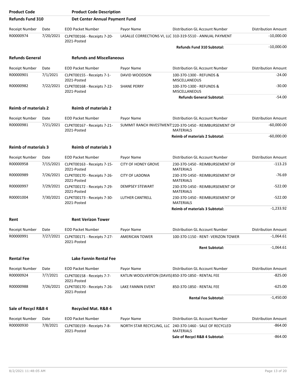| <b>Product Code</b>         |           | <b>Product Code Description</b>            |                                                     |                                                                               |                            |
|-----------------------------|-----------|--------------------------------------------|-----------------------------------------------------|-------------------------------------------------------------------------------|----------------------------|
| <b>Refunds Fund 310</b>     |           | Det Center Annual Payment Fund             |                                                     |                                                                               |                            |
| Receipt Number              | Date      | <b>EOD Packet Number</b>                   | Payor Name                                          | Distribution GL Account Number                                                | <b>Distribution Amount</b> |
| R00000974                   | 7/20/2021 | CLPKT00166 - Receipts 7-20-<br>2021-Posted |                                                     | LASALLE CORRECTIONS VI, LLC 310-319-5510 - ANNUAL PAYMENT                     | $-10,000.00$               |
|                             |           |                                            |                                                     | <b>Refunds Fund 310 Subtotal:</b>                                             | $-10,000.00$               |
| <b>Refunds General</b>      |           | <b>Refunds and Miscellaneous</b>           |                                                     |                                                                               |                            |
| <b>Receipt Number</b>       | Date      | <b>EOD Packet Number</b>                   | Payor Name                                          | Distribution GL Account Number                                                | <b>Distribution Amount</b> |
| R00000901                   | 7/1/2021  | CLPKT00155 - Receipts 7-1-<br>2021-Posted  | DAVID WOODSON                                       | 100-370-1300 - REFUNDS &<br><b>MISCELLANEOUS</b>                              | $-24.00$                   |
| R00000982                   | 7/22/2021 | CLPKT00168 - Receipts 7-22-<br>2021-Posted | <b>SHANE PERRY</b>                                  | 100-370-1300 - REFUNDS &<br><b>MISCELLANEOUS</b>                              | $-30.00$                   |
|                             |           |                                            |                                                     | <b>Refunds General Subtotal:</b>                                              | $-54.00$                   |
| <b>Reimb of materials 2</b> |           | <b>Reimb of materials 2</b>                |                                                     |                                                                               |                            |
| <b>Receipt Number</b>       | Date      | <b>EOD Packet Number</b>                   | Payor Name                                          | Distribution GL Account Number                                                | <b>Distribution Amount</b> |
| R00000981                   | 7/21/2021 | CLPKT00167 - Receipts 7-21-<br>2021-Posted |                                                     | SUMMIT RANCH INVESTMENT: 220-370-1450 - REIMBURSEMENT OF<br><b>MATERIALS</b>  | $-60,000.00$               |
|                             |           |                                            |                                                     | <b>Reimb of materials 2 Subtotal:</b>                                         | $-60,000.00$               |
| <b>Reimb of materials 3</b> |           | <b>Reimb of materials 3</b>                |                                                     |                                                                               |                            |
| <b>Receipt Number</b>       | Date      | <b>EOD Packet Number</b>                   | Payor Name                                          | Distribution GL Account Number                                                | <b>Distribution Amount</b> |
| R00000958                   | 7/15/2021 | CLPKT00163 - Receipts 7-15-<br>2021-Posted | <b>CITY OF HONEY GROVE</b>                          | 230-370-1450 - REIMBURSEMENT OF<br><b>MATERIALS</b>                           | $-113.23$                  |
| R00000989                   | 7/26/2021 | CLPKT00170 - Receipts 7-26-<br>2021-Posted | <b>CITY OF LADONIA</b>                              | 230-370-1450 - REIMBURSEMENT OF<br><b>MATERIALS</b>                           | -76.69                     |
| R00000997                   | 7/29/2021 | CLPKT00172 - Receipts 7-29-<br>2021-Posted | <b>DEMPSEY STEWART</b>                              | 230-370-1450 - REIMBURSEMENT OF<br><b>MATERIALS</b>                           | $-522.00$                  |
| R00001004                   | 7/30/2021 | CLPKT00173 - Receipts 7-30-<br>2021-Posted | LUTHER CANTRELL                                     | 230-370-1450 - REIMBURSEMENT OF<br><b>MATERIALS</b>                           | $-522.00$                  |
|                             |           |                                            |                                                     | <b>Reimb of materials 3 Subtotal:</b>                                         | $-1,233.92$                |
| Rent                        |           | <b>Rent Verizon Tower</b>                  |                                                     |                                                                               |                            |
| Receipt Number              | Date      | <b>EOD Packet Number</b>                   | Payor Name                                          | Distribution GL Account Number                                                | <b>Distribution Amount</b> |
| R00000991                   | 7/27/2021 | CLPKT00171 - Receipts 7-27-<br>2021-Posted | <b>AMERICAN TOWER</b>                               | 100-370-1150 - RENT- VERIZON TOWER                                            | $-1,064.61$                |
|                             |           |                                            |                                                     | <b>Rent Subtotal:</b>                                                         | $-1,064.61$                |
| <b>Rental Fee</b>           |           | <b>Lake Fannin Rental Fee</b>              |                                                     |                                                                               |                            |
| <b>Receipt Number</b>       | Date      | <b>EOD Packet Number</b>                   | Payor Name                                          | Distribution GL Account Number                                                | <b>Distribution Amount</b> |
| R00000924                   | 7/7/2021  | CLPKT00158 - Receipts 7-7-<br>2021-Posted  | KATLIN WOOLVERTON (DAVIS) 850-370-1850 - RENTAL FEE |                                                                               | -825.00                    |
| R00000988                   | 7/26/2021 | CLPKT00170 - Receipts 7-26-<br>2021-Posted | LAKE FANNIN EVENT                                   | 850-370-1850 - RENTAL FEE                                                     | $-625.00$                  |
|                             |           |                                            |                                                     | <b>Rental Fee Subtotal:</b>                                                   | $-1,450.00$                |
| Sale of Recycl R&B 4        |           | <b>Recycled Mat. R&amp;B 4</b>             |                                                     |                                                                               |                            |
| Receipt Number              | Date      | <b>EOD Packet Number</b>                   | Payor Name                                          | Distribution GL Account Number                                                | <b>Distribution Amount</b> |
| R00000930                   | 7/8/2021  | CLPKT00159 - Receipts 7-8-<br>2021-Posted  |                                                     | NORTH STAR RECYCLING, LLC 240-370-1460 - SALE OF RECYCLED<br><b>MATERIALS</b> | $-864.00$                  |
|                             |           |                                            |                                                     | Sale of Recycl R&B 4 Subtotal:                                                | -864.00                    |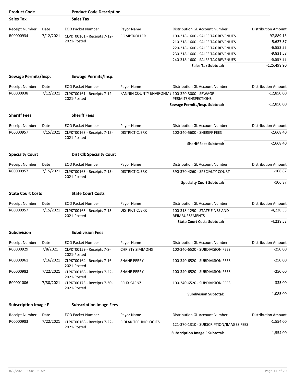| <b>Product Code</b>         |           | <b>Product Code Description</b>            |                        |                                                                      |                            |
|-----------------------------|-----------|--------------------------------------------|------------------------|----------------------------------------------------------------------|----------------------------|
| <b>Sales Tax</b>            |           | <b>Sales Tax</b>                           |                        |                                                                      |                            |
| <b>Receipt Number</b>       | Date      | <b>EOD Packet Number</b>                   | Payor Name             | Distribution GL Account Number                                       | <b>Distribution Amount</b> |
| R00000934                   | 7/12/2021 | CLPKT00161 - Receipts 7-12-                | <b>COMPTROLLER</b>     | 100-318-1600 - SALES TAX REVENUES                                    | -97,889.15                 |
|                             |           | 2021-Posted                                |                        | 210-318-1600 - SALES TAX REVENUES                                    | $-5,627.37$                |
|                             |           |                                            |                        | 220-318-1600 - SALES TAX REVENUES                                    | $-6,553.55$                |
|                             |           |                                            |                        | 230-318-1600 - SALES TAX REVENUES                                    | $-9,831.58$                |
|                             |           |                                            |                        | 240-318-1600 - SALES TAX REVENUES                                    | $-5,597.25$                |
|                             |           |                                            |                        | Sales Tax Subtotal:                                                  | $-125,498.90$              |
|                             |           | Sewage Permits/Insp.                       |                        |                                                                      |                            |
| Sewage Permits/Insp.        |           |                                            |                        |                                                                      |                            |
| <b>Receipt Number</b>       | Date      | <b>EOD Packet Number</b>                   | Payor Name             | Distribution GL Account Number                                       | <b>Distribution Amount</b> |
| R00000938                   | 7/12/2021 | CLPKT00161 - Receipts 7-12-<br>2021-Posted |                        | FANNIN COUNTY ENVIRONMEI100-320-3000 - SEWAGE<br>PERMITS/INSPECTIONS | $-12,850.00$               |
|                             |           |                                            |                        | Sewage Permits/Insp. Subtotal:                                       | $-12,850.00$               |
| <b>Sheriff Fees</b>         |           | <b>Sheriff Fees</b>                        |                        |                                                                      |                            |
| <b>Receipt Number</b>       | Date      | <b>EOD Packet Number</b>                   | Payor Name             | Distribution GL Account Number                                       | <b>Distribution Amount</b> |
| R00000957                   | 7/15/2021 | CLPKT00163 - Receipts 7-15-<br>2021-Posted | <b>DISTRICT CLERK</b>  | 100-340-5600 - SHERIFF FEES                                          | $-2,668.40$                |
|                             |           |                                            |                        | <b>Sheriff Fees Subtotal:</b>                                        | $-2,668.40$                |
| <b>Specialty Court</b>      |           | <b>Dist Clk Specialty Court</b>            |                        |                                                                      |                            |
| Receipt Number              | Date      | <b>EOD Packet Number</b>                   | Payor Name             | Distribution GL Account Number                                       | <b>Distribution Amount</b> |
| R00000957                   | 7/15/2021 | CLPKT00163 - Receipts 7-15-<br>2021-Posted | <b>DISTRICT CLERK</b>  | 590-370-4260 - SPECIALTY COURT                                       | $-106.87$                  |
|                             |           |                                            |                        | <b>Specialty Court Subtotal:</b>                                     | $-106.87$                  |
| <b>State Court Costs</b>    |           | <b>State Court Costs</b>                   |                        |                                                                      |                            |
| <b>Receipt Number</b>       | Date      | <b>EOD Packet Number</b>                   | Payor Name             | Distribution GL Account Number                                       | <b>Distribution Amount</b> |
| R00000957                   | 7/15/2021 | CLPKT00163 - Receipts 7-15-                | <b>DISTRICT CLERK</b>  | 100-318-1290 - STATE FINES AND                                       | $-4,238.53$                |
|                             |           | 2021-Posted                                |                        | REIMBURSEMENTS<br><b>State Court Costs Subtotal:</b>                 | $-4,238.53$                |
|                             |           |                                            |                        |                                                                      |                            |
| <b>Subdivision</b>          |           | <b>Subdivision Fees</b>                    |                        |                                                                      |                            |
| Receipt Number              | Date      | <b>EOD Packet Number</b>                   | Payor Name             | Distribution GL Account Number                                       | <b>Distribution Amount</b> |
| R00000929                   | 7/8/2021  | CLPKT00159 - Receipts 7-8-<br>2021-Posted  | <b>CHRISTY SIMMONS</b> | 100-340-6520 - SUBDIVISION FEES                                      | $-250.00$                  |
| R00000961                   | 7/16/2021 | CLPKT00164 - Receipts 7-16-<br>2021-Posted | SHANE PERRY            | 100-340-6520 - SUBDIVISION FEES                                      | $-250.00$                  |
| R00000982                   | 7/22/2021 | CLPKT00168 - Receipts 7-22-<br>2021-Posted | SHANE PERRY            | 100-340-6520 - SUBDIVISION FEES                                      | -250.00                    |
| R00001006                   | 7/30/2021 | CLPKT00173 - Receipts 7-30-<br>2021-Posted | <b>FELIX SAENZ</b>     | 100-340-6520 - SUBDIVISION FEES                                      | $-335.00$                  |
|                             |           |                                            |                        | <b>Subdivision Subtotal:</b>                                         | $-1,085.00$                |
| <b>Subscription Image F</b> |           | <b>Subscription Image Fees</b>             |                        |                                                                      |                            |
| Receipt Number              | Date      | <b>EOD Packet Number</b>                   | Payor Name             | Distribution GL Account Number                                       | <b>Distribution Amount</b> |
| R00000983                   | 7/22/2021 | CLPKT00168 - Receipts 7-22-<br>2021-Posted | FIDLAR TECHNOLOGIES    | 121-370-1310 - SUBSCRIPTION/IMAGES FEES                              | $-1,554.00$                |
|                             |           |                                            |                        | <b>Subscription Image F Subtotal:</b>                                | $-1,554.00$                |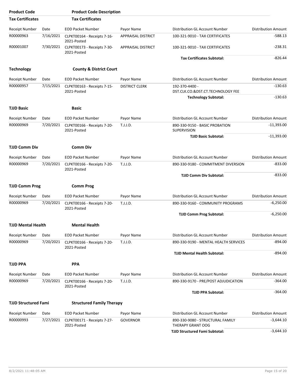| <b>Product Code</b>         |           | <b>Product Code Description</b>            |                       |                                                       |                            |
|-----------------------------|-----------|--------------------------------------------|-----------------------|-------------------------------------------------------|----------------------------|
| <b>Tax Certificates</b>     |           | <b>Tax Certificates</b>                    |                       |                                                       |                            |
| <b>Receipt Number</b>       | Date      | <b>EOD Packet Number</b>                   | Payor Name            | Distribution GL Account Number                        | <b>Distribution Amount</b> |
| R00000963                   | 7/16/2021 | CLPKT00164 - Receipts 7-16-<br>2021-Posted | APPRAISAL DISTRICT    | 100-321-9010 - TAX CERTIFICATES                       | -588.13                    |
| R00001007                   | 7/30/2021 | CLPKT00173 - Receipts 7-30-<br>2021-Posted | APPRAISAL DISTRICT    | 100-321-9010 - TAX CERTIFICATES                       | $-238.31$                  |
|                             |           |                                            |                       | <b>Tax Certificates Subtotal:</b>                     | $-826.44$                  |
| <b>Technology</b>           |           | <b>County &amp; District Court</b>         |                       |                                                       |                            |
| <b>Receipt Number</b>       | Date      | <b>EOD Packet Number</b>                   | Payor Name            | <b>Distribution GL Account Number</b>                 | <b>Distribution Amount</b> |
| R00000957                   | 7/15/2021 | CLPKT00163 - Receipts 7-15-<br>2021-Posted | <b>DISTRICT CLERK</b> | 192-370-4400 -<br>DST.CLK.CO.&DST.CT.TECHNOLOGY FEE   | $-130.63$                  |
|                             |           |                                            |                       | <b>Technology Subtotal:</b>                           | $-130.63$                  |
| <b>TJJD Basic</b>           |           | Basic                                      |                       |                                                       |                            |
| <b>Receipt Number</b>       | Date      | <b>EOD Packet Number</b>                   | Payor Name            | Distribution GL Account Number                        | <b>Distribution Amount</b> |
| R00000969                   | 7/20/2021 | CLPKT00166 - Receipts 7-20-<br>2021-Posted | T.J.J.D.              | 890-330-9150 - BASIC PROBATION<br>SUPERVISION         | $-11,393.00$               |
|                             |           |                                            |                       | <b>TJJD Basic Subtotal:</b>                           | $-11,393.00$               |
| <b>TJJD Comm Div</b>        |           | <b>Comm Div</b>                            |                       |                                                       |                            |
| Receipt Number              | Date      | <b>EOD Packet Number</b>                   | Payor Name            | Distribution GL Account Number                        | <b>Distribution Amount</b> |
| R00000969                   | 7/20/2021 | CLPKT00166 - Receipts 7-20-<br>2021-Posted | T.J.J.D.              | 890-330-9180 - COMMITMENT DIVERSION                   | $-833.00$                  |
|                             |           |                                            |                       | <b>TJJD Comm Div Subtotal:</b>                        | $-833.00$                  |
| <b>TJJD Comm Prog</b>       |           | <b>Comm Prog</b>                           |                       |                                                       |                            |
| <b>Receipt Number</b>       | Date      | <b>EOD Packet Number</b>                   | Payor Name            | Distribution GL Account Number                        | <b>Distribution Amount</b> |
| R00000969                   | 7/20/2021 | CLPKT00166 - Receipts 7-20-<br>2021-Posted | T.J.J.D.              | 890-330-9160 - COMMUNITY PROGRAMS                     | $-6,250.00$                |
|                             |           |                                            |                       | <b>TJJD Comm Prog Subtotal:</b>                       | $-6,250.00$                |
| <b>TJJD Mental Health</b>   |           | <b>Mental Health</b>                       |                       |                                                       |                            |
| Receipt Number              | Date      | <b>EOD Packet Number</b>                   | Payor Name            | Distribution GL Account Number                        | <b>Distribution Amount</b> |
| R00000969                   | 7/20/2021 | CLPKT00166 - Receipts 7-20-<br>2021-Posted | T.J.J.D.              | 890-330-9190 - MENTAL HEALTH SERVICES                 | $-894.00$                  |
|                             |           |                                            |                       | <b>TJJD Mental Health Subtotal:</b>                   | $-894.00$                  |
| <b>TJJD PPA</b>             |           | <b>PPA</b>                                 |                       |                                                       |                            |
| <b>Receipt Number</b>       | Date      | <b>EOD Packet Number</b>                   | Payor Name            | Distribution GL Account Number                        | <b>Distribution Amount</b> |
| R00000969                   | 7/20/2021 | CLPKT00166 - Receipts 7-20-<br>2021-Posted | T.J.J.D.              | 890-330-9170 - PRE/POST ADJUDICATION                  | $-364.00$                  |
|                             |           |                                            |                       | <b>TJJD PPA Subtotal:</b>                             | $-364.00$                  |
| <b>TJJD Structured Fami</b> |           | <b>Structured Family Therapy</b>           |                       |                                                       |                            |
| Receipt Number              | Date      | <b>EOD Packet Number</b>                   | Payor Name            | Distribution GL Account Number                        | <b>Distribution Amount</b> |
| R00000993                   | 7/27/2021 | CLPKT00171 - Receipts 7-27-<br>2021-Posted | <b>GOVERNOR</b>       | 890-330-9080 - STRUCTURAL FAMILY<br>THERAPY GRANT OOG | $-3,644.10$                |
|                             |           |                                            |                       | <b>TJJD Structured Fami Subtotal:</b>                 | $-3,644.10$                |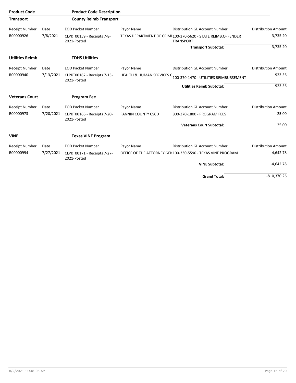| <b>Product Code</b>    |           | <b>Product Code Description</b>            |                                      |                                                                                   |                            |
|------------------------|-----------|--------------------------------------------|--------------------------------------|-----------------------------------------------------------------------------------|----------------------------|
| <b>Transport</b>       |           | <b>County Reimb Transport</b>              |                                      |                                                                                   |                            |
| <b>Receipt Number</b>  | Date      | <b>EOD Packet Number</b>                   | Payor Name                           | <b>Distribution GL Account Number</b>                                             | <b>Distribution Amount</b> |
| R00000926              | 7/8/2021  | CLPKT00159 - Receipts 7-8-<br>2021-Posted  |                                      | TEXAS DEPARTMENT OF CRIMI 100-370-5620 - STATE REIMB.OFFENDER<br><b>TRANSPORT</b> | $-3,735.20$                |
|                        |           |                                            |                                      | <b>Transport Subtotal:</b>                                                        | $-3,735.20$                |
| <b>Utilities Reimb</b> |           | <b>TDHS Utilities</b>                      |                                      |                                                                                   |                            |
| <b>Receipt Number</b>  | Date      | <b>EOD Packet Number</b>                   | Payor Name                           | <b>Distribution GL Account Number</b>                                             | <b>Distribution Amount</b> |
| R00000940              | 7/13/2021 | CLPKT00162 - Receipts 7-13-<br>2021-Posted | <b>HEALTH &amp; HUMAN SERVICES C</b> | 100-370-1470 - UTILITIES REIMBURSEMENT                                            | $-923.56$                  |
|                        |           |                                            |                                      | <b>Utilities Reimb Subtotal:</b>                                                  | $-923.56$                  |
| <b>Veterans Court</b>  |           | <b>Program Fee</b>                         |                                      |                                                                                   |                            |
| <b>Receipt Number</b>  | Date      | <b>EOD Packet Number</b>                   | Payor Name                           | <b>Distribution GL Account Number</b>                                             | <b>Distribution Amount</b> |
| R00000973              | 7/20/2021 | CLPKT00166 - Receipts 7-20-<br>2021-Posted | <b>FANNIN COUNTY CSCD</b>            | 800-370-1800 - PROGRAM FEES                                                       | $-25.00$                   |
|                        |           |                                            |                                      | <b>Veterans Court Subtotal:</b>                                                   | $-25.00$                   |
| <b>VINE</b>            |           | <b>Texas VINE Program</b>                  |                                      |                                                                                   |                            |
| Receipt Number         | Date      | <b>EOD Packet Number</b>                   | Payor Name                           | <b>Distribution GL Account Number</b>                                             | <b>Distribution Amount</b> |
| R00000994              | 7/27/2021 | CLPKT00171 - Receipts 7-27-<br>2021-Posted |                                      | OFFICE OF THE ATTORNEY GEN100-330-5590 - TEXAS VINE PROGRAM                       | $-4,642.78$                |
|                        |           |                                            |                                      | <b>VINE Subtotal:</b>                                                             | $-4,642.78$                |
|                        |           |                                            |                                      | <b>Grand Total:</b>                                                               | $-810,370.26$              |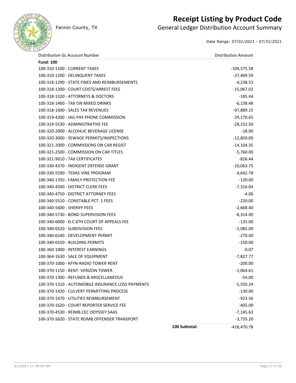

## **Receipt Listing by Product Code**

Fannin County, TX **General Ledger Distribution Account Summary** 

Date Range: 07/01/2021 - 07/31/2021

| Distribution GL Account Number                    |               | <b>Distribution Amount</b> |
|---------------------------------------------------|---------------|----------------------------|
| <b>Fund: 100</b>                                  |               |                            |
| 100-310-1100 - CURRENT TAXES                      |               | $-104,575.58$              |
| 100-310-1200 - DELINQUENT TAXES                   |               | -37,469.59                 |
| 100-318-1290 - STATE FINES AND REIMBURSEMENTS     |               | $-4,238.53$                |
| 100-318-1300 - COURT COSTS/ARREST FEES            |               | $-15,067.02$               |
| 100-318-1320 - ATTORNEYS & DOCTORS                |               | $-185.44$                  |
| 100-318-1400 - TAX ON MIXED DRINKS                |               | $-6,138.48$                |
| 100-318-1600 - SALES TAX REVENUES                 |               | $-97,889.15$               |
| 100-319-4200 - JAIL PAY PHONE COMMISSION          |               | $-29,170.65$               |
| 100-319-5530 - ADMINISTRATIVE FEE                 |               | $-28,152.50$               |
| 100-320-2000 - ALCOHLIC BEVERAGE LICENSE          |               | $-18.00$                   |
| 100-320-3000 - SEWAGE PERMITS/INSPECTIONS         |               | $-12,850.00$               |
| 100-321-2000 - COMMISSIONS ON CAR REGIST          |               | $-14,104.35$               |
| 100-321-2500 - COMMISSION ON CAR TITLES           |               | $-5,760.00$                |
| 100-321-9010 - TAX CERTIFICATES                   |               | $-826.44$                  |
| 100-330-4370 - INDIGENT DEFENSE GRANT             |               | $-10,063.75$               |
| 100-330-5590 - TEXAS VINE PROGRAM                 |               | $-4,642.78$                |
| 100-340-1350 - FAMILY PROTECTION FEE              |               | $-120.00$                  |
| 100-340-4500 - DISTRICT CLERK FEES                |               | $-7,316.04$                |
| 100-340-4750 - DISTRICT ATTORNEY FEES             |               | $-4.00$                    |
| 100-340-5510 - CONSTABLE PCT. 1 FEES              |               | $-220.00$                  |
| 100-340-5600 - SHERIFF FEES                       |               | $-2,668.40$                |
| 100-340-5730 - BOND SUPERVISION FEES              |               | $-8,314.00$                |
| 100-340-6000 - D.C.6TH COURT OF APPEALS FEE       |               | $-135.00$                  |
| 100-340-6520 - SUBDIVISION FEES                   |               | $-1,085.00$                |
| 100-340-6540 - DEVELOPMENT PERMIT                 |               | $-270.00$                  |
| 100-340-6550 - BUILDING PERMITS                   |               | $-150.00$                  |
| 100-360-1000 - INTEREST EARNINGS                  |               | $-0.07$                    |
| 100-364-1630 - SALE OF EQUIPMENT                  |               | $-7,827.77$                |
| 100-370-1000 - KFYN-RADIO TOWER RENT              |               | $-200.00$                  |
| 100-370-1150 - RENT- VERIZON TOWER                |               | $-1,064.61$                |
| 100-370-1300 - REFUNDS & MISCELLANEOUS            |               | $-54.00$                   |
| 100-370-1310 - AUTOMOBILE INSURANCE LOSS PAYMENTS |               | $-5,550.24$                |
| 100-370-1420 - CULVERT PERMITTING PROCESS         |               | $-130.00$                  |
| 100-370-1470 - UTILITIES REIMBURSEMENT            |               | $-923.56$                  |
| 100-370-1620 - COURT REPORTER SERVICE FEE         |               | $-405.00$                  |
| 100-370-4530 - REIMB.CEC ODYSSEY SAAS             |               | $-7,145.63$                |
| 100-370-5620 - STATE REIMB.OFFENDER TRANSPORT     |               | $-3,735.20$                |
|                                                   | 100 Subtotal: | $-418,470.78$              |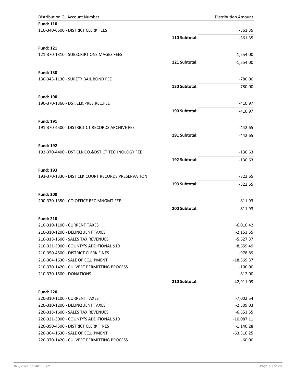| Distribution GL Account Number                     |               | <b>Distribution Amount</b> |
|----------------------------------------------------|---------------|----------------------------|
| <b>Fund: 110</b>                                   |               |                            |
| 110-340-6500 - DISTRICT CLERK FEES                 |               | $-361.35$                  |
|                                                    | 110 Subtotal: | $-361.35$                  |
| <b>Fund: 121</b>                                   |               |                            |
| 121-370-1310 - SUBSCRIPTION/IMAGES FEES            |               | $-1,554.00$                |
|                                                    | 121 Subtotal: | $-1,554.00$                |
| <b>Fund: 130</b>                                   |               |                            |
| 130-345-1130 - SURETY BAIL BOND FEE                |               | $-780.00$                  |
|                                                    | 130 Subtotal: | $-780.00$                  |
| <b>Fund: 190</b>                                   |               |                            |
| 190-370-1360 - DST.CLK.PRES.REC.FEE                |               | -410.97                    |
|                                                    | 190 Subtotal: | $-410.97$                  |
| <b>Fund: 191</b>                                   |               |                            |
| 191-370-4500 - DISTRICT CT.RECORDS ARCHIVE FEE     |               | $-442.65$                  |
|                                                    | 191 Subtotal: | $-442.65$                  |
| <b>Fund: 192</b>                                   |               |                            |
| 192-370-4400 - DST.CLK.CO.&DST.CT.TECHNOLOGY FEE   |               | $-130.63$                  |
|                                                    | 192 Subtotal: | $-130.63$                  |
| <b>Fund: 193</b>                                   |               |                            |
| 193-370-1330 - DIST.CLK.COURT RECORDS PRESERVATION |               | $-322.65$                  |
|                                                    | 193 Subtotal: | $-322.65$                  |
|                                                    |               |                            |
| <b>Fund: 200</b>                                   |               |                            |
| 200-370-1350 - CO.OFFICE REC.MNGMT.FEE             |               | $-811.93$                  |
|                                                    | 200 Subtotal: | $-811.93$                  |
| <b>Fund: 210</b>                                   |               |                            |
| 210-310-1100 - CURRENT TAXES                       |               | $-6,010.42$                |
| 210-310-1200 - DELINQUENT TAXES                    |               | $-2,153.55$                |
| 210-318-1600 - SALES TAX REVENUES                  |               | $-5,627.37$                |
| 210-321-3000 - COUNTY'S ADDITIONAL \$10            |               | $-8,659.49$                |
| 210-350-4500 - DISTRICT CLERK FINES                |               | $-978.89$                  |
| 210-364-1630 - SALE OF EQUIPMENT                   |               | $-18,569.37$               |
| 210-370-1420 - CULVERT PERMITTING PROCESS          |               | $-100.00$                  |
| 210-370-1500 - DONATIONS                           |               | $-812.00$                  |
|                                                    | 210 Subtotal: | -42,911.09                 |
| <b>Fund: 220</b>                                   |               |                            |
| 220-310-1100 - CURRENT TAXES                       |               | $-7,002.54$                |
| 220-310-1200 - DELINQUENT TAXES                    |               | $-2,509.03$                |
| 220-318-1600 - SALES TAX REVENUES                  |               | $-6,553.55$                |
| 220-321-3000 - COUNTY'S ADDITIONAL \$10            |               | $-10,087.11$               |
| 220-350-4500 - DISTRICT CLERK FINES                |               | $-1,140.28$                |
| 220-364-1630 - SALE OF EQUIPMENT                   |               | $-63,316.25$               |
| 220-370-1420 - CULVERT PERMITTING PROCESS          |               | $-60.00$                   |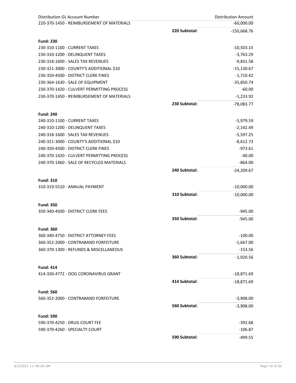| <b>Distribution GL Account Number</b>     |               | <b>Distribution Amount</b> |
|-------------------------------------------|---------------|----------------------------|
| 220-370-1450 - REIMBURSEMENT OF MATERIALS |               | $-60,000.00$               |
|                                           | 220 Subtotal: | $-150,668.76$              |
| <b>Fund: 230</b>                          |               |                            |
| 230-310-1100 - CURRENT TAXES              |               | $-10,503.15$               |
| 230-310-1200 - DELINQUENT TAXES           |               | $-3,763.29$                |
| 230-318-1600 - SALES TAX REVENUES         |               | $-9,831.58$                |
| 230-321-3000 - COUNTY'S ADDITIONAL \$10   |               | $-15,130.67$               |
| 230-350-4500 - DISTRICT CLERK FINES       |               | $-1,710.42$                |
| 230-364-1630 - SALE OF EQUIPMENT          |               | $-35,850.74$               |
| 230-370-1420 - CULVERT PERMITTING PROCESS |               | $-60.00$                   |
| 230-370-1450 - REIMBURSEMENT OF MATERIALS |               |                            |
|                                           |               | $-1,233.92$                |
|                                           | 230 Subtotal: | $-78,083.77$               |
| <b>Fund: 240</b>                          |               |                            |
| 240-310-1100 - CURRENT TAXES              |               | -5,979.59                  |
| 240-310-1200 - DELINQUENT TAXES           |               | $-2,142.49$                |
| 240-318-1600 - SALES TAX REVENUES         |               | $-5,597.25$                |
| 240-321-3000 - COUNTY'S ADDITIONAL \$10   |               | $-8,612.73$                |
| 240-350-4500 - DISTRICT CLERK FINES       |               | $-973.61$                  |
| 240-370-1420 - CULVERT PERMITTING PROCESS |               | $-40.00$                   |
| 240-370-1460 - SALE OF RECYCLED MATERIALS |               | $-864.00$                  |
|                                           | 240 Subtotal: | $-24,209.67$               |
|                                           |               |                            |
| <b>Fund: 310</b>                          |               |                            |
| 310-319-5510 - ANNUAL PAYMENT             |               | $-10,000.00$               |
|                                           | 310 Subtotal: | $-10,000.00$               |
| <b>Fund: 350</b>                          |               |                            |
| 350-340-4500 - DISTRICT CLERK FEES        |               | $-945.00$                  |
|                                           | 350 Subtotal: | $-945.00$                  |
|                                           |               |                            |
| <b>Fund: 360</b>                          |               |                            |
| 360-340-4750 - DISTRICT ATTORNEY FEES     |               | $-100.00$                  |
| 360-352-2000 - CONTRABAND FORFEITURE      |               | $-1,667.00$                |
| 360-370-1300 - REFUNDS & MISCELLANEOUS    |               | $-153.56$                  |
|                                           | 360 Subtotal: | $-1,920.56$                |
| <b>Fund: 414</b>                          |               |                            |
| 414-330-4772 - OOG CORONAVIRUS GRANT      |               | $-18,871.69$               |
|                                           | 414 Subtotal: | $-18,871.69$               |
|                                           |               |                            |
| <b>Fund: 560</b>                          |               |                            |
| 560-352-2000 - CONTRABAND FORFEITURE      |               | $-3,908.00$                |
|                                           | 560 Subtotal: | $-3,908.00$                |
| <b>Fund: 590</b>                          |               |                            |
| 590-370-4250 - DRUG COURT FEE             |               | $-392.68$                  |
| 590-370-4260 - SPECIALTY COURT            |               | $-106.87$                  |
|                                           | 590 Subtotal: | $-499.55$                  |
|                                           |               |                            |